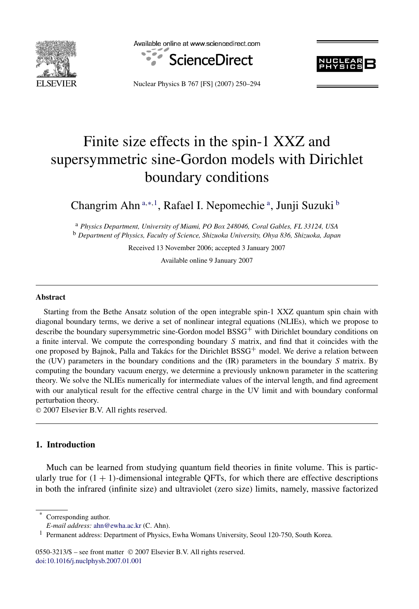

Available online at www.sciencedirect.com





Nuclear Physics B 767 [FS] (2007) 250–294

# Finite size effects in the spin-1 XXZ and supersymmetric sine-Gordon models with Dirichlet boundary conditions

Changrim Ahn<sup>a,∗,1</sup>, Rafael I. Nepomechie<sup>a</sup>, Junji Suzuki<sup>b</sup>

<sup>a</sup> *Physics Department, University of Miami, PO Box 248046, Coral Gables, FL 33124, USA* <sup>b</sup> *Department of Physics, Faculty of Science, Shizuoka University, Ohya 836, Shizuoka, Japan*

Received 13 November 2006; accepted 3 January 2007

Available online 9 January 2007

#### **Abstract**

Starting from the Bethe Ansatz solution of the open integrable spin-1 XXZ quantum spin chain with diagonal boundary terms, we derive a set of nonlinear integral equations (NLIEs), which we propose to describe the boundary supersymmetric sine-Gordon model  $BSSG^+$  with Dirichlet boundary conditions on a finite interval. We compute the corresponding boundary *S* matrix, and find that it coincides with the one proposed by Bajnok, Palla and Takács for the Dirichlet  $BSSG^+$  model. We derive a relation between the (UV) parameters in the boundary conditions and the (IR) parameters in the boundary *S* matrix. By computing the boundary vacuum energy, we determine a previously unknown parameter in the scattering theory. We solve the NLIEs numerically for intermediate values of the interval length, and find agreement with our analytical result for the effective central charge in the UV limit and with boundary conformal perturbation theory.

© 2007 Elsevier B.V. All rights reserved.

# **1. Introduction**

Much can be learned from studying quantum field theories in finite volume. This is particularly true for  $(1 + 1)$ -dimensional integrable OFTs, for which there are effective descriptions in both the infrared (infinite size) and ultraviolet (zero size) limits, namely, massive factorized

Corresponding author.

0550-3213/\$ – see front matter © 2007 Elsevier B.V. All rights reserved. [doi:10.1016/j.nuclphysb.2007.01.001](http://dx.doi.org/10.1016/j.nuclphysb.2007.01.001)

*E-mail address:* [ahn@ewha.ac.kr](mailto:ahn@ewha.ac.kr) (C. Ahn).

<sup>&</sup>lt;sup>1</sup> Permanent address: Department of Physics, Ewha Womans University, Seoul 120-750, South Korea.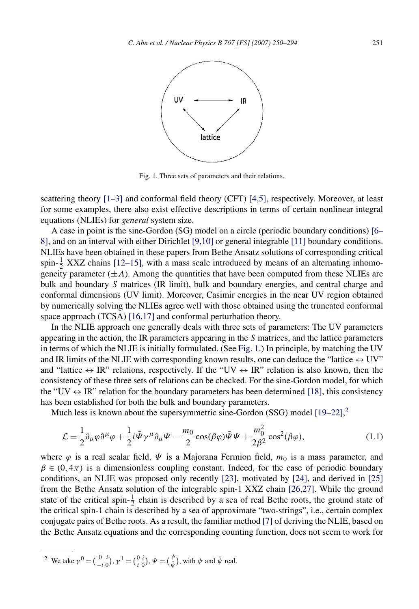<span id="page-1-0"></span>

Fig. 1. Three sets of parameters and their relations.

scattering theory [\[1–3\]](#page-41-0) and conformal field theory (CFT) [\[4,5\],](#page-42-0) respectively. Moreover, at least for some examples, there also exist effective descriptions in terms of certain nonlinear integral equations (NLIEs) for *general* system size.

A case in point is the sine-Gordon (SG) model on a circle (periodic boundary conditions) [\[6–](#page-42-0) [8\],](#page-42-0) and on an interval with either Dirichlet [\[9,10\]](#page-42-0) or general integrable [\[11\]](#page-42-0) boundary conditions. NLIEs have been obtained in these papers from Bethe Ansatz solutions of corresponding critical spin- $\frac{1}{2}$  XXZ chains [\[12–15\],](#page-42-0) with a mass scale introduced by means of an alternating inhomogeneity parameter  $(\pm A)$ . Among the quantities that have been computed from these NLIEs are bulk and boundary *S* matrices (IR limit), bulk and boundary energies, and central charge and conformal dimensions (UV limit). Moreover, Casimir energies in the near UV region obtained by numerically solving the NLIEs agree well with those obtained using the truncated conformal space approach (TCSA) [\[16,17\]](#page-43-0) and conformal perturbation theory.

In the NLIE approach one generally deals with three sets of parameters: The UV parameters appearing in the action, the IR parameters appearing in the *S* matrices, and the lattice parameters in terms of which the NLIE is initially formulated. (See Fig. 1.) In principle, by matching the UV and IR limits of the NLIE with corresponding known results, one can deduce the "lattice  $\leftrightarrow$  UV" and "lattice  $\leftrightarrow \text{IR}$ " relations, respectively. If the "UV  $\leftrightarrow \text{IR}$ " relation is also known, then the consistency of these three sets of relations can be checked. For the sine-Gordon model, for which the "UV  $\leftrightarrow$  IR" relation for the boundary parameters has been determined [\[18\],](#page-43-0) this consistency has been established for both the bulk and boundary parameters.

Much less is known about the supersymmetric sine-Gordon (SSG) model [\[19–22\],](#page-43-0)<sup>2</sup>

$$
\mathcal{L} = \frac{1}{2} \partial_{\mu} \varphi \partial^{\mu} \varphi + \frac{1}{2} i \bar{\Psi} \gamma^{\mu} \partial_{\mu} \Psi - \frac{m_0}{2} \cos(\beta \varphi) \bar{\Psi} \Psi + \frac{m_0^2}{2\beta^2} \cos^2(\beta \varphi), \tag{1.1}
$$

where  $\varphi$  is a real scalar field,  $\Psi$  is a Majorana Fermion field,  $m_0$  is a mass parameter, and  $\beta \in (0, 4\pi)$  is a dimensionless coupling constant. Indeed, for the case of periodic boundary conditions, an NLIE was proposed only recently [\[23\],](#page-43-0) motivated by [\[24\],](#page-43-0) and derived in [\[25\]](#page-43-0) from the Bethe Ansatz solution of the integrable spin-1 XXZ chain [\[26,27\].](#page-43-0) While the ground state of the critical spin- $\frac{1}{2}$  chain is described by a sea of real Bethe roots, the ground state of the critical spin-1 chain is described by a sea of approximate "two-strings", i.e., certain complex conjugate pairs of Bethe roots. As a result, the familiar method [\[7\]](#page-42-0) of deriving the NLIE, based on the Bethe Ansatz equations and the corresponding counting function, does not seem to work for

<sup>2</sup> We take 
$$
\gamma^0 = \begin{pmatrix} 0 & i \\ -i & 0 \end{pmatrix}
$$
,  $\gamma^1 = \begin{pmatrix} 0 & i \\ i & 0 \end{pmatrix}$ ,  $\Psi = \begin{pmatrix} \psi \\ \bar{\psi} \end{pmatrix}$ , with  $\psi$  and  $\bar{\psi}$  real.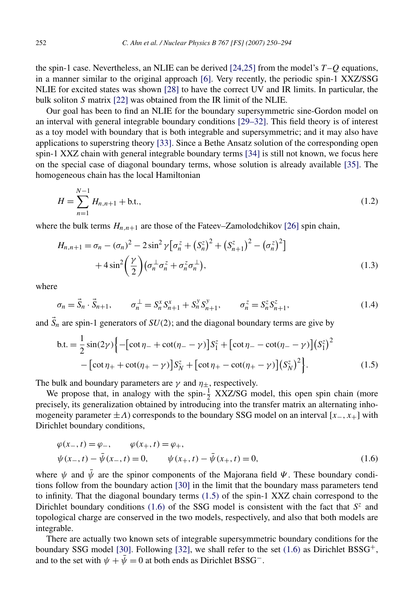<span id="page-2-0"></span>the spin-1 case. Nevertheless, an NLIE can be derived [\[24,25\]](#page-43-0) from the model's *T* –*Q* equations, in a manner similar to the original approach [\[6\].](#page-42-0) Very recently, the periodic spin-1 XXZ/SSG NLIE for excited states was shown [\[28\]](#page-43-0) to have the correct UV and IR limits. In particular, the bulk soliton *S* matrix [\[22\]](#page-43-0) was obtained from the IR limit of the NLIE.

Our goal has been to find an NLIE for the boundary supersymmetric sine-Gordon model on an interval with general integrable boundary conditions [\[29–32\].](#page-43-0) This field theory is of interest as a toy model with boundary that is both integrable and supersymmetric; and it may also have applications to superstring theory [\[33\].](#page-44-0) Since a Bethe Ansatz solution of the corresponding open spin-1 XXZ chain with general integrable boundary terms [\[34\]](#page-44-0) is still not known, we focus here on the special case of diagonal boundary terms, whose solution is already available [\[35\].](#page-44-0) The homogeneous chain has the local Hamiltonian

$$
H = \sum_{n=1}^{N-1} H_{n,n+1} + \text{b.t.,}
$$
\n(1.2)

where the bulk terms  $H_{n,n+1}$  are those of the Fateev–Zamolodchikov [\[26\]](#page-43-0) spin chain,

$$
H_{n,n+1} = \sigma_n - (\sigma_n)^2 - 2\sin^2 \gamma \left[ \sigma_n^z + \left( S_n^z \right)^2 + \left( S_{n+1}^z \right)^2 - \left( \sigma_n^z \right)^2 \right] + 4\sin^2 \left( \frac{\gamma}{2} \right) \left( \sigma_n^{\perp} \sigma_n^z + \sigma_n^z \sigma_n^{\perp} \right),
$$
(1.3)

where

$$
\sigma_n = \vec{S}_n \cdot \vec{S}_{n+1}, \qquad \sigma_n^{\perp} = S_n^x S_{n+1}^x + S_n^y S_{n+1}^y, \qquad \sigma_n^z = S_n^z S_{n+1}^z,
$$
\n(1.4)

and  $\vec{S}_n$  are spin-1 generators of  $SU(2)$ ; and the diagonal boundary terms are give by

$$
\text{b.t.} = \frac{1}{2}\sin(2\gamma)\left\{-\left[\cot\eta_{-} + \cot(\eta_{-} - \gamma)\right]S_{1}^{z} + \left[\cot\eta_{-} - \cot(\eta_{-} - \gamma)\right]\left(S_{1}^{z}\right)^{2} - \left[\cot\eta_{+} + \cot(\eta_{+} - \gamma)\right]S_{N}^{z} + \left[\cot\eta_{+} - \cot(\eta_{+} - \gamma)\right]\left(S_{N}^{z}\right)^{2}\right\}.
$$
\n(1.5)

The bulk and boundary parameters are  $\gamma$  and  $\eta_{\pm}$ , respectively.

We propose that, in analogy with the spin- $\frac{1}{2}$  XXZ/SG model, this open spin chain (more precisely, its generalization obtained by introducing into the transfer matrix an alternating inhomogeneity parameter  $\pm A$ ) corresponds to the boundary SSG model on an interval  $[x_-, x_+]$  with Dirichlet boundary conditions,

$$
\varphi(x_-, t) = \varphi_-, \qquad \varphi(x_+, t) = \varphi_+, \n\psi(x_-, t) - \bar{\psi}(x_-, t) = 0, \qquad \psi(x_+, t) - \bar{\psi}(x_+, t) = 0,
$$
\n(1.6)

where  $\psi$  and  $\bar{\psi}$  are the spinor components of the Majorana field  $\Psi$ . These boundary conditions follow from the boundary action [\[30\]](#page-43-0) in the limit that the boundary mass parameters tend to infinity. That the diagonal boundary terms (1.5) of the spin-1 XXZ chain correspond to the Dirichlet boundary conditions (1.6) of the SSG model is consistent with the fact that  $S^z$  and topological charge are conserved in the two models, respectively, and also that both models are integrable.

There are actually two known sets of integrable supersymmetric boundary conditions for the boundary SSG model [\[30\].](#page-43-0) Following [\[32\],](#page-44-0) we shall refer to the set  $(1.6)$  as Dirichlet BSSG<sup>+</sup>, and to the set with  $\psi + \psi = 0$  at both ends as Dirichlet BSSG<sup>-</sup>.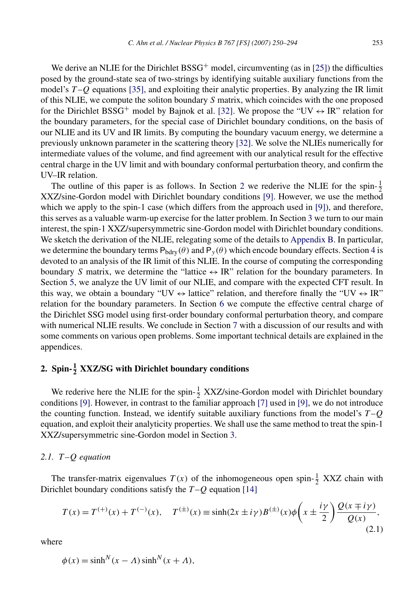<span id="page-3-0"></span>We derive an NLIE for the Dirichlet  $BSSG^+$  model, circumventing (as in [\[25\]\)](#page-43-0) the difficulties posed by the ground-state sea of two-strings by identifying suitable auxiliary functions from the model's *T* –*Q* equations [\[35\],](#page-44-0) and exploiting their analytic properties. By analyzing the IR limit of this NLIE, we compute the soliton boundary *S* matrix, which coincides with the one proposed for the Dirichlet BSSG<sup>+</sup> model by Bajnok et al. [\[32\].](#page-44-0) We propose the "UV  $\leftrightarrow$  IR" relation for the boundary parameters, for the special case of Dirichlet boundary conditions, on the basis of our NLIE and its UV and IR limits. By computing the boundary vacuum energy, we determine a previously unknown parameter in the scattering theory [\[32\].](#page-44-0) We solve the NLIEs numerically for intermediate values of the volume, and find agreement with our analytical result for the effective central charge in the UV limit and with boundary conformal perturbation theory, and confirm the UV–IR relation.

The outline of this paper is as follows. In Section 2 we rederive the NLIE for the spin- $\frac{1}{2}$ XXZ/sine-Gordon model with Dirichlet boundary conditions [\[9\].](#page-42-0) However, we use the method which we apply to the spin-1 case (which differs from the approach used in [\[9\]\)](#page-42-0), and therefore, this serves as a valuable warm-up exercise for the latter problem. In Section [3](#page-11-0) we turn to our main interest, the spin-1 XXZ/supersymmetric sine-Gordon model with Dirichlet boundary conditions. We sketch the derivation of the NLIE, relegating some of the details to [Appendix B.](#page-35-0) In particular, we determine the boundary terms  $P_{bdry}(\theta)$  and  $P_y(\theta)$  which encode boundary effects. Section [4](#page-20-0) is devoted to an analysis of the IR limit of this NLIE. In the course of computing the corresponding boundary *S* matrix, we determine the "lattice  $\leftrightarrow$  IR" relation for the boundary parameters. In Section [5,](#page-24-0) we analyze the UV limit of our NLIE, and compare with the expected CFT result. In this way, we obtain a boundary "UV  $\leftrightarrow$  lattice" relation, and therefore finally the "UV  $\leftrightarrow$  IR" relation for the boundary parameters. In Section [6](#page-28-0) we compute the effective central charge of the Dirichlet SSG model using first-order boundary conformal perturbation theory, and compare with numerical NLIE results. We conclude in Section [7](#page-31-0) with a discussion of our results and with some comments on various open problems. Some important technical details are explained in the appendices.

# **2. Spin- <sup>1</sup> <sup>2</sup> XXZ/SG with Dirichlet boundary conditions**

We rederive here the NLIE for the spin- $\frac{1}{2}$  XXZ/sine-Gordon model with Dirichlet boundary conditions [\[9\].](#page-42-0) However, in contrast to the familiar approach [\[7\]](#page-42-0) used in [\[9\],](#page-42-0) we do not introduce the counting function. Instead, we identify suitable auxiliary functions from the model's *T* –*Q* equation, and exploit their analyticity properties. We shall use the same method to treat the spin-1 XXZ/supersymmetric sine-Gordon model in Section [3.](#page-11-0)

#### *2.1. T –Q equation*

The transfer-matrix eigenvalues  $T(x)$  of the inhomogeneous open spin- $\frac{1}{2}$  XXZ chain with Dirichlet boundary conditions satisfy the *T* –*Q* equation [\[14\]](#page-42-0)

$$
T(x) = T^{(+)}(x) + T^{(-)}(x), \quad T^{(\pm)}(x) \equiv \sinh(2x \pm i\gamma) B^{(\pm)}(x) \phi\left(x \pm \frac{i\gamma}{2}\right) \frac{Q(x \mp i\gamma)}{Q(x)},
$$
\n(2.1)

where

$$
\phi(x) = \sinh^N(x - \Lambda)\sinh^N(x + \Lambda),
$$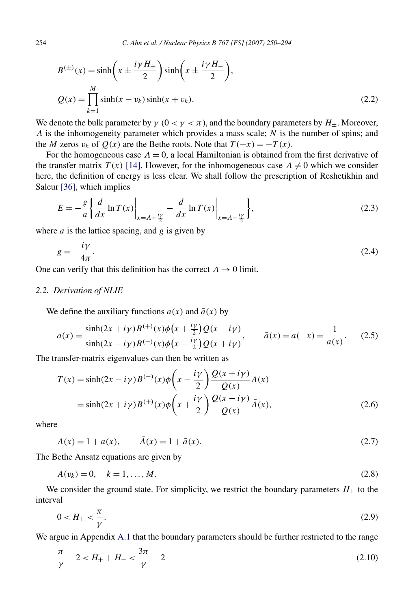<span id="page-4-0"></span>254 *C. Ahn et al. / Nuclear Physics B 767 [FS] (2007) 250–294*

$$
B^{(\pm)}(x) = \sinh\left(x \pm \frac{i\gamma H_{+}}{2}\right) \sinh\left(x \pm \frac{i\gamma H_{-}}{2}\right),
$$
  

$$
Q(x) = \prod_{k=1}^{M} \sinh(x - v_k) \sinh(x + v_k).
$$
 (2.2)

We denote the bulk parameter by  $\gamma$  ( $0 < \gamma < \pi$ ), and the boundary parameters by  $H_+$ . Moreover, *Λ* is the inhomogeneity parameter which provides a mass scale; *N* is the number of spins; and the *M* zeros  $v_k$  of  $Q(x)$  are the Bethe roots. Note that  $T(-x) = -T(x)$ .

For the homogeneous case  $\Lambda = 0$ , a local Hamiltonian is obtained from the first derivative of the transfer matrix  $T(x)$  [\[14\].](#page-42-0) However, for the inhomogeneous case  $\Lambda \neq 0$  which we consider here, the definition of energy is less clear. We shall follow the prescription of Reshetikhin and Saleur [\[36\],](#page-44-0) which implies

$$
E = -\frac{g}{a} \left\{ \frac{d}{dx} \ln T(x) \Big|_{x = A + \frac{iy}{2}} - \frac{d}{dx} \ln T(x) \Big|_{x = A - \frac{iy}{2}} \right\},\tag{2.3}
$$

where *a* is the lattice spacing, and *g* is given by

$$
g = -\frac{i\gamma}{4\pi}.\tag{2.4}
$$

One can verify that this definition has the correct  $\Lambda \to 0$  limit.

#### *2.2. Derivation of NLIE*

We define the auxiliary functions  $a(x)$  and  $\bar{a}(x)$  by

$$
a(x) = \frac{\sinh(2x + i\gamma)B^{(+)}(x)\phi(x + \frac{i\gamma}{2})Q(x - i\gamma)}{\sinh(2x - i\gamma)B^{(-)}(x)\phi(x - \frac{i\gamma}{2})Q(x + i\gamma)}, \qquad \bar{a}(x) = a(-x) = \frac{1}{a(x)}.
$$
 (2.5)

The transfer-matrix eigenvalues can then be written as

$$
T(x) = \sinh(2x - i\gamma)B^{(-)}(x)\phi\left(x - \frac{i\gamma}{2}\right)\frac{Q(x + i\gamma)}{Q(x)}A(x)
$$
  
=  $\sinh(2x + i\gamma)B^{(+)}(x)\phi\left(x + \frac{i\gamma}{2}\right)\frac{Q(x - i\gamma)}{Q(x)}\bar{A}(x),$  (2.6)

where

$$
\bar{A}(x) = 1 + a(x), \qquad \bar{A}(x) = 1 + \bar{a}(x). \tag{2.7}
$$

The Bethe Ansatz equations are given by

$$
A(v_k) = 0, \quad k = 1, ..., M.
$$
\n(2.8)

We consider the ground state. For simplicity, we restrict the boundary parameters  $H_{\pm}$  to the interval

$$
0 < H_{\pm} < \frac{\pi}{\gamma}.\tag{2.9}
$$

We argue in Appendix [A.1](#page-32-0) that the boundary parameters should be further restricted to the range

$$
\frac{\pi}{\gamma} - 2 < H_+ + H_- < \frac{3\pi}{\gamma} - 2\tag{2.10}
$$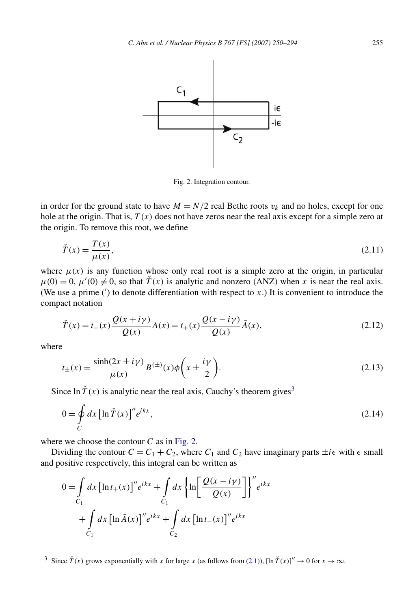<span id="page-5-0"></span>

Fig. 2. Integration contour.

in order for the ground state to have  $M = N/2$  real Bethe roots  $v_k$  and no holes, except for one hole at the origin. That is, *T (x)* does not have zeros near the real axis except for a simple zero at the origin. To remove this root, we define

$$
\check{T}(x) = \frac{T(x)}{\mu(x)},\tag{2.11}
$$

where  $\mu(x)$  is any function whose only real root is a simple zero at the origin, in particular  $\mu(0) = 0$ ,  $\mu'(0) \neq 0$ , so that  $\check{T}(x)$  is analytic and nonzero (ANZ) when *x* is near the real axis. (We use a prime  $(')$  to denote differentiation with respect to  $x$ .) It is convenient to introduce the compact notation

$$
\check{T}(x) = t_{-}(x) \frac{Q(x + i\gamma)}{Q(x)} A(x) = t_{+}(x) \frac{Q(x - i\gamma)}{Q(x)} \bar{A}(x),
$$
\n(2.12)

where

$$
t_{\pm}(x) = \frac{\sinh(2x \pm i\gamma)}{\mu(x)} B^{(\pm)}(x) \phi\left(x \pm \frac{i\gamma}{2}\right). \tag{2.13}
$$

Since  $\ln \check{T}(x)$  is analytic near the real axis, Cauchy's theorem gives<sup>3</sup>

$$
0 = \oint_C dx \left[ \ln \tilde{T}(x) \right]'' e^{ikx},\tag{2.14}
$$

where we choose the contour  $C$  as in Fig. 2.

Dividing the contour  $C = C_1 + C_2$ , where  $C_1$  and  $C_2$  have imaginary parts  $\pm i\epsilon$  with  $\epsilon$  small and positive respectively, this integral can be written as

$$
0 = \int_{C_1} dx \left[\ln t_+(x)\right]'' e^{ikx} + \int_{C_1} dx \left{\ln \left[\frac{\mathcal{Q}(x - i\gamma)}{\mathcal{Q}(x)}\right]\right}'' e^{ikx}
$$

$$
+ \int_{C_1} dx \left[\ln \bar{A}(x)\right]'' e^{ikx} + \int_{C_2} dx \left[\ln t_-(x)\right]'' e^{ikx}
$$

<sup>&</sup>lt;sup>3</sup> Since  $\check{T}(x)$  grows exponentially with *x* for large *x* (as follows from [\(2.1\)\)](#page-3-0), [ln  $\check{T}(x)$ ]''  $\to 0$  for  $x \to \infty$ .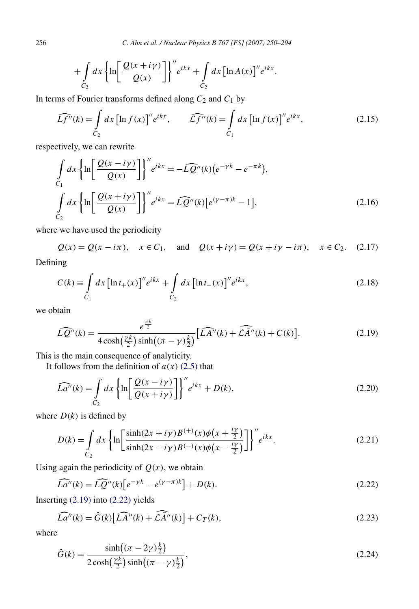<span id="page-6-0"></span>256 *C. Ahn et al. / Nuclear Physics B 767 [FS] (2007) 250–294*

$$
+\int_{C_2} dx \left\{\ln \left[\frac{Q(x+i\gamma)}{Q(x)}\right]\right\}'' e^{ikx} + \int_{C_2} dx \left[\ln A(x)\right]'' e^{ikx}.
$$

In terms of Fourier transforms defined along  $C_2$  and  $C_1$  by

$$
\widehat{Lf''}(k) = \int_{C_2} dx \left[ \ln f(x) \right]'' e^{ikx}, \qquad \widehat{Lf''}(k) = \int_{C_1} dx \left[ \ln f(x) \right]'' e^{ikx}, \tag{2.15}
$$

respectively, we can rewrite

$$
\int_{C_1} dx \left\{ \ln \left[ \frac{\mathcal{Q}(x - i\gamma)}{\mathcal{Q}(x)} \right] \right\}^{"} e^{ikx} = -L\widehat{\mathcal{Q}}^{"}(k) \left( e^{-\gamma k} - e^{-\pi k} \right),
$$
\n
$$
\int_{C_2} dx \left\{ \ln \left[ \frac{\mathcal{Q}(x + i\gamma)}{\mathcal{Q}(x)} \right] \right\}^{"} e^{ikx} = L\widehat{\mathcal{Q}}^{"}(k) \left[ e^{(\gamma - \pi)k} - 1 \right],
$$
\n(2.16)

where we have used the periodicity

 $Q(x) = Q(x - i\pi), \quad x \in C_1, \text{ and } Q(x + i\gamma) = Q(x + i\gamma - i\pi), \quad x \in C_2.$  (2.17)

Defining

$$
C(k) \equiv \int_{C_1} dx \left[ \ln t_+(x) \right]'' e^{ikx} + \int_{C_2} dx \left[ \ln t_-(x) \right]'' e^{ikx}, \tag{2.18}
$$

we obtain

$$
\widehat{LQ}''(k) = \frac{e^{\frac{\pi k}{2}}}{4\cosh(\frac{\gamma k}{2})\sinh((\pi - \gamma)\frac{k}{2})} \big[\widehat{LA''}(k) + \widehat{CA''}(k) + C(k)\big].\tag{2.19}
$$

This is the main consequence of analyticity.

It follows from the definition of  $a(x)$  [\(2.5\)](#page-4-0) that

$$
\widehat{La''}(k) = \int_{C_2} dx \left\{ \ln \left[ \frac{Q(x - i\gamma)}{Q(x + i\gamma)} \right] \right\}'' e^{ikx} + D(k),\tag{2.20}
$$

where  $D(k)$  is defined by

$$
D(k) = \int_{C_2} dx \left\{ \ln \left[ \frac{\sinh(2x + i\gamma)B^{(+)}(x)\phi(x + \frac{i\gamma}{2})}{\sinh(2x - i\gamma)B^{(-)}(x)\phi(x - \frac{i\gamma}{2})} \right] \right\}^{\prime\prime} e^{ikx}.
$$
 (2.21)

Using again the periodicity of  $Q(x)$ , we obtain

$$
\widehat{La''}(k) = \widehat{LQ''}(k) \left[ e^{-\gamma k} - e^{(\gamma - \pi)k} \right] + D(k). \tag{2.22}
$$

Inserting (2.19) into (2.22) yields

$$
\widehat{La''}(k) = \widehat{G}(k) \left[ \widehat{LA''}(k) + \widehat{LA''}(k) \right] + C_T(k),\tag{2.23}
$$

where

$$
\hat{G}(k) = \frac{\sinh((\pi - 2\gamma)\frac{k}{2})}{2\cosh(\frac{\gamma k}{2})\sinh((\pi - \gamma)\frac{k}{2})},\tag{2.24}
$$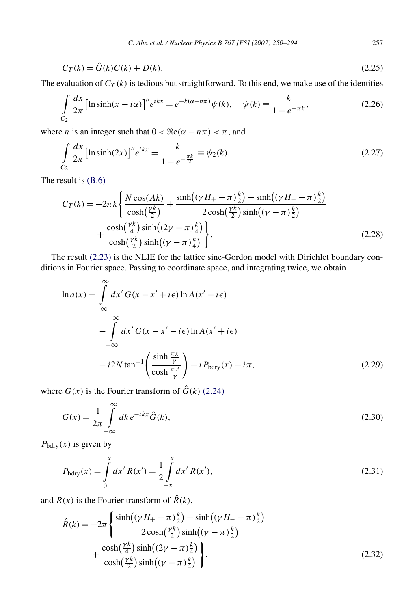<span id="page-7-0"></span>
$$
C_T(k) = \hat{G}(k)C(k) + D(k).
$$
 (2.25)

The evaluation of  $C_T(k)$  is tedious but straightforward. To this end, we make use of the identities

$$
\int_{C_2} \frac{dx}{2\pi} \left[ \ln \sinh(x - i\alpha) \right]'' e^{ikx} = e^{-k(\alpha - n\pi)} \psi(k), \quad \psi(k) \equiv \frac{k}{1 - e^{-\pi k}},\tag{2.26}
$$

where *n* is an integer such that  $0 < \Re(\alpha - n\pi) < \pi$ , and

$$
\int_{C_2} \frac{dx}{2\pi} \left[ \ln \sinh(2x) \right]'' e^{ikx} = \frac{k}{1 - e^{-\frac{\pi k}{2}}} \equiv \psi_2(k). \tag{2.27}
$$

The result is [\(B.6\)](#page-36-0)

$$
C_T(k) = -2\pi k \left\{ \frac{N \cos(\Lambda k)}{\cosh(\frac{\gamma k}{2})} + \frac{\sinh((\gamma H_+ - \pi)\frac{k}{2}) + \sinh((\gamma H_- - \pi)\frac{k}{2})}{2\cosh(\frac{\gamma k}{2})\sinh((\gamma - \pi)\frac{k}{2})} + \frac{\cosh(\frac{\gamma k}{4})\sinh((2\gamma - \pi)\frac{k}{4})}{\cosh(\frac{\gamma k}{2})\sinh((\gamma - \pi)\frac{k}{4})} \right\}.
$$
(2.28)

The result [\(2.23\)](#page-6-0) is the NLIE for the lattice sine-Gordon model with Dirichlet boundary conditions in Fourier space. Passing to coordinate space, and integrating twice, we obtain

$$
\ln a(x) = \int_{-\infty}^{\infty} dx' G(x - x' + i\epsilon) \ln A(x' - i\epsilon)
$$
  
- 
$$
\int_{-\infty}^{\infty} dx' G(x - x' - i\epsilon) \ln \bar{A}(x' + i\epsilon)
$$
  
- 
$$
i 2N \tan^{-1} \left( \frac{\sinh \frac{\pi x}{\gamma}}{\cosh \frac{\pi A}{\gamma}} \right) + i P_{\text{bdry}}(x) + i\pi,
$$
 (2.29)

where  $G(x)$  is the Fourier transform of  $\hat{G}(k)$  [\(2.24\)](#page-6-0)

$$
G(x) = \frac{1}{2\pi} \int_{-\infty}^{\infty} dk \, e^{-ikx} \hat{G}(k),\tag{2.30}
$$

 $P_{\text{bdry}}(x)$  is given by

$$
P_{\text{bdry}}(x) = \int_{0}^{x} dx' R(x') = \frac{1}{2} \int_{-x}^{x} dx' R(x'),
$$
\n(2.31)

and  $R(x)$  is the Fourier transform of  $\hat{R}(k)$ ,

$$
\hat{R}(k) = -2\pi \left\{ \frac{\sinh((\gamma H_{+} - \pi)\frac{k}{2}) + \sinh((\gamma H_{-} - \pi)\frac{k}{2})}{2\cosh(\frac{\gamma k}{2})\sinh((\gamma - \pi)\frac{k}{2})} + \frac{\cosh(\frac{\gamma k}{4})\sinh((2\gamma - \pi)\frac{k}{4})}{\cosh(\frac{\gamma k}{2})\sinh((\gamma - \pi)\frac{k}{4})} \right\}.
$$
\n(2.32)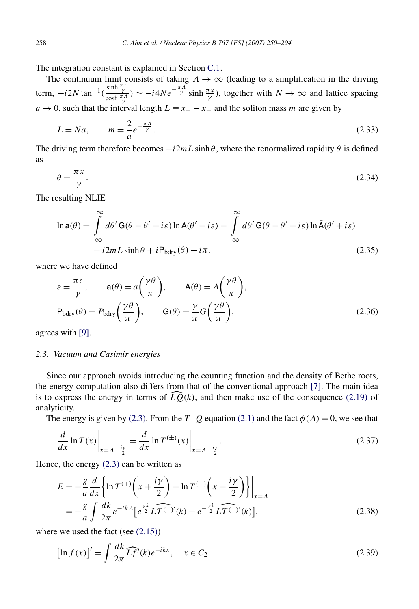<span id="page-8-0"></span>The integration constant is explained in Section [C.1.](#page-38-0)

The continuum limit consists of taking  $\Lambda \to \infty$  (leading to a simplification in the driving term,  $-i2N \tan^{-1}(\frac{\sinh \frac{\pi x}{\gamma}}{\cosh \frac{\pi A}{\gamma}}) \sim -i4Ne^{-\frac{\pi A}{\gamma}} \sinh \frac{\pi x}{\gamma}$ , together with  $N \to \infty$  and lattice spacing *a* → 0, such that the interval length  $L \equiv x_+ - x_-$  and the soliton mass *m* are given by

$$
L = Na, \qquad m = \frac{2}{a}e^{-\frac{\pi A}{\gamma}}.
$$
\n
$$
(2.33)
$$

The driving term therefore becomes  $-i2mL\sinh\theta$ , where the renormalized rapidity  $\theta$  is defined as

$$
\theta = \frac{\pi x}{\gamma}.\tag{2.34}
$$

The resulting NLIE

$$
\ln a(\theta) = \int_{-\infty}^{\infty} d\theta' G(\theta - \theta' + i\varepsilon) \ln A(\theta' - i\varepsilon) - \int_{-\infty}^{\infty} d\theta' G(\theta - \theta' - i\varepsilon) \ln \bar{A}(\theta' + i\varepsilon)
$$
  
-  $i2mL \sinh \theta + iP_{bdry}(\theta) + i\pi,$  (2.35)

where we have defined

$$
\varepsilon = \frac{\pi \epsilon}{\gamma}, \qquad a(\theta) = a\left(\frac{\gamma \theta}{\pi}\right), \qquad A(\theta) = A\left(\frac{\gamma \theta}{\pi}\right),
$$
  
\n
$$
P_{\text{bdry}}(\theta) = P_{\text{bdry}}\left(\frac{\gamma \theta}{\pi}\right), \qquad G(\theta) = \frac{\gamma}{\pi}G\left(\frac{\gamma \theta}{\pi}\right),
$$
\n(2.36)

agrees with [\[9\].](#page-42-0)

#### *2.3. Vacuum and Casimir energies*

Since our approach avoids introducing the counting function and the density of Bethe roots, the energy computation also differs from that of the conventional approach [\[7\].](#page-42-0) The main idea is to express the energy in terms of  $\widehat{LQ}(k)$ , and then make use of the consequence [\(2.19\)](#page-6-0) of analyticity.

The energy is given by [\(2.3\).](#page-4-0) From the *T* – *Q* equation [\(2.1\)](#page-3-0) and the fact  $\phi(\Lambda) = 0$ , we see that

$$
\frac{d}{dx}\ln T(x)\Big|_{x=A\pm\frac{iy}{2}} = \frac{d}{dx}\ln T^{(\pm)}(x)\Big|_{x=A\pm\frac{iy}{2}}.
$$
\n(2.37)

Hence, the energy [\(2.3\)](#page-4-0) can be written as

$$
E = -\frac{g}{a} \frac{d}{dx} \left\{ \ln T^{(+)} \left( x + \frac{i\gamma}{2} \right) - \ln T^{(-)} \left( x - \frac{i\gamma}{2} \right) \right\} \Big|_{x = A}
$$
  
= 
$$
-\frac{g}{a} \int \frac{dk}{2\pi} e^{-ikA} \left[ e^{\frac{\gamma k}{2}} \widehat{LT^{(+)}}'(k) - e^{-\frac{\gamma k}{2}} \widehat{LT^{(-)}}'(k) \right],
$$
 (2.38)

where we used the fact (see  $(2.15)$ )

$$
\left[\ln f(x)\right]' = \int \frac{dk}{2\pi} \widehat{Lf'}(k)e^{-ikx}, \quad x \in C_2.
$$
\n(2.39)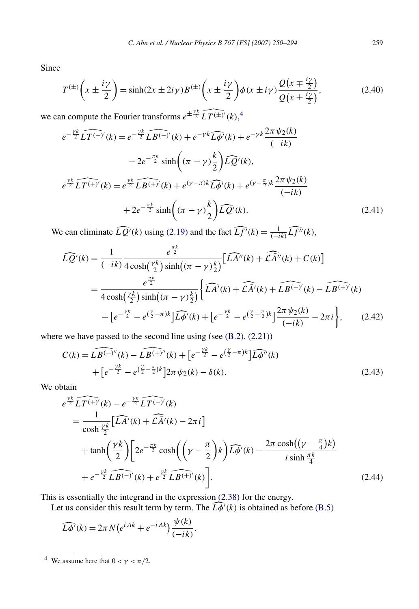<span id="page-9-0"></span>Since

$$
T^{(\pm)}\left(x \pm \frac{i\gamma}{2}\right) = \sinh(2x \pm 2i\gamma)B^{(\pm)}\left(x \pm \frac{i\gamma}{2}\right)\phi(x \pm i\gamma)\frac{Q\left(x \mp \frac{i\gamma}{2}\right)}{Q\left(x \pm \frac{i\gamma}{2}\right)},
$$
(2.40)  
we can compute the Fourier transforms  $e^{\pm \frac{\gamma k}{2}}\widehat{LT^{(\pm)}}'(k)$ ,<sup>4</sup>  

$$
e^{-\frac{\gamma k}{2}}\widehat{LT^{(-)}}'(k) = e^{-\frac{\gamma k}{2}}\widehat{LB^{(-)}}'(k) + e^{-\gamma k}\widehat{L\phi'}(k) + e^{-\gamma k}\frac{2\pi \psi_2(k)}{M}
$$

$$
e^{-\frac{\gamma k}{2}} \widehat{LT^{(-)'}(k)} = e^{-\frac{\gamma k}{2}} \widehat{LB^{(-)'}(k)} + e^{-\gamma k} \widehat{L\phi'}(k) + e^{-\gamma k} \frac{2\pi \psi_2(k)}{(-ik)}
$$
  

$$
-2e^{-\frac{\pi k}{2}} \sinh\left((\pi - \gamma)\frac{k}{2}\right) \widehat{L\phi'}(k),
$$

$$
e^{\frac{\gamma k}{2}} \widehat{LT^{(+)'}(k)} = e^{\frac{\gamma k}{2}} \widehat{LB^{(+)'}(k)} + e^{(\gamma - \pi)k} \widehat{L\phi'}(k) + e^{(\gamma - \frac{\pi}{2})k} \frac{2\pi \psi_2(k)}{(-ik)}
$$

$$
+ 2e^{-\frac{\pi k}{2}} \sinh\left((\pi - \gamma)\frac{k}{2}\right) \widehat{L\phi'}(k).
$$
 (2.41)

We can eliminate  $\widehat{LQ'}(k)$  using [\(2.19\)](#page-6-0) and the fact  $\widehat{Lf'}(k) = \frac{1}{(-ik)} \widehat{Lf''}(k)$ ,

$$
\widehat{LQ'}(k) = \frac{1}{(-ik)} \frac{e^{\frac{\pi k}{2}}}{4\cosh(\frac{\gamma k}{2})\sinh((\pi - \gamma)\frac{k}{2})} \left[ \widehat{L A''}(k) + \widehat{L A''}(k) + C(k) \right]
$$

$$
= \frac{e^{\frac{\pi k}{2}}}{4\cosh(\frac{\gamma k}{2})\sinh((\pi - \gamma)\frac{k}{2})} \left\{ \widehat{L A'}(k) + \widehat{L A'}(k) + \widehat{L B^{(-)}}'(k) - \widehat{L B^{(+)}}'(k) + \left[ e^{-\frac{\gamma k}{2}} - e^{(\frac{\gamma}{2} - \pi)k} \right] \widehat{L \phi'}(k) + \left[ e^{-\frac{\gamma k}{2}} - e^{(\frac{\gamma}{2} - \frac{\pi}{2})k} \right] \frac{2\pi \psi_2(k)}{(-ik)} - 2\pi i \right\}, \quad (2.42)
$$

where we have passed to the second line using (see (B.2), (2.21))  
\n
$$
C(k) = \widehat{LB^{(-)''}}(k) - \widehat{LB^{(+)''}}(k) + \left[e^{-\frac{\gamma k}{2}} - e^{\left(\frac{\gamma}{2} - \pi\right)k}\right] \widehat{L\phi''}(k) + \left[e^{-\frac{\gamma k}{2}} - e^{\left(\frac{\gamma}{2} - \frac{\pi}{2}\right)k}\right] 2\pi \psi_2(k) - \delta(k).
$$
\n(2.43)

We obtain

obtain

\n
$$
e^{\frac{\gamma k}{2}} L T^{(+)}(k) - e^{-\frac{\gamma k}{2}} L T^{(-)}(k)
$$
\n
$$
= \frac{1}{\cosh \frac{\gamma k}{2}} \Big[ \widehat{L A'}(k) + \widehat{L A'}(k) - 2\pi i \Big]
$$
\n
$$
+ \tanh \Big( \frac{\gamma k}{2} \Big) \Big[ 2e^{-\frac{\pi k}{2}} \cosh \Big( \Big( \gamma - \frac{\pi}{2} \Big) k \Big) \widehat{L \phi'}(k) - \frac{2\pi \cosh \Big( (\gamma - \frac{\pi}{4})k \Big)}{i \sinh \frac{\pi k}{4}}
$$
\n
$$
+ e^{-\frac{\gamma k}{2}} L \widehat{B^{(-)}}(k) + e^{\frac{\gamma k}{2}} L \widehat{B^{(+)}}(k) \Big].
$$
\n(2.44)

This is essentially the integrand in the expression [\(2.38\)](#page-8-0) for the energy.

Let us consider this result term by term. The  $\widehat{L\phi'}(k)$  is obtained as before [\(B.5\)](#page-35-0)

$$
\widehat{L\phi'}(k) = 2\pi N \big(e^{iAk} + e^{-iAk}\big) \frac{\psi(k)}{(-ik)}.
$$

<sup>&</sup>lt;sup>4</sup> We assume here that  $0 < \gamma < \pi/2$ .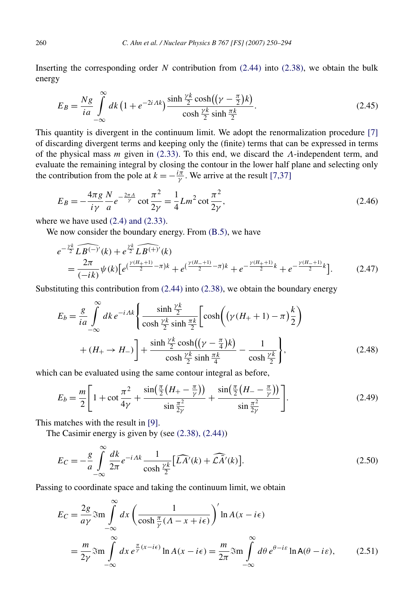Inserting the corresponding order *N* contribution from [\(2.44\)](#page-9-0) into [\(2.38\),](#page-8-0) we obtain the bulk energy

$$
E_B = \frac{Ng}{ia} \int_{-\infty}^{\infty} dk \left(1 + e^{-2iAk}\right) \frac{\sinh\frac{\gamma k}{2}\cosh\left((\gamma - \frac{\pi}{2})k\right)}{\cosh\frac{\gamma k}{2}\sinh\frac{\pi k}{2}}.
$$
 (2.45)

This quantity is divergent in the continuum limit. We adopt the renormalization procedure [\[7\]](#page-42-0) of discarding divergent terms and keeping only the (finite) terms that can be expressed in terms of the physical mass *m* given in [\(2.33\).](#page-8-0) To this end, we discard the *Λ*-independent term, and evaluate the remaining integral by closing the contour in the lower half plane and selecting only the contribution from the pole at  $k = -\frac{i\pi}{\gamma}$ . We arrive at the result [\[7,37\]](#page-42-0)

$$
E_B = -\frac{4\pi g}{i\gamma} \frac{N}{a} e^{-\frac{2\pi A}{\gamma}} \cot \frac{\pi^2}{2\gamma} = \frac{1}{4} Lm^2 \cot \frac{\pi^2}{2\gamma},
$$
\n(2.46)

where we have used  $(2.4)$  and  $(2.33)$ .

We now consider the boundary energy. From (B.5), we have  
\n
$$
e^{-\frac{\gamma k}{2}} \widehat{LB^{(-)}}'(k) + e^{\frac{\gamma k}{2}} \widehat{LB^{(+)}}'(k)
$$
\n
$$
= \frac{2\pi}{(-ik)} \psi(k) \Big[ e^{(\frac{\gamma (H_+ + 1)}{2} - \pi)k} + e^{(\frac{\gamma (H_- + 1)}{2} - \pi)k} + e^{-\frac{\gamma (H_+ + 1)}{2}k} + e^{-\frac{\gamma (H_- + 1)}{2}k} \Big].
$$
\n(2.47)

Substituting this contribution from [\(2.44\)](#page-9-0) into [\(2.38\),](#page-8-0) we obtain the boundary energy

$$
E_b = \frac{g}{ia} \int_{-\infty}^{\infty} dk \, e^{-i\Lambda k} \left\{ \frac{\sinh\frac{\gamma k}{2}}{\cosh\frac{\gamma k}{2}\sinh\frac{\pi k}{2}} \left[ \cosh\left(\left(\gamma \left(H_+ + 1\right) - \pi\right)\frac{k}{2}\right) \right. \right.+ \left(H_+ \to H_-\right) \right] + \frac{\sinh\frac{\gamma k}{2}\cosh\left(\left(\gamma - \frac{\pi}{4}\right)k\right)}{\cosh\frac{\gamma k}{2}\sinh\frac{\pi k}{4}} - \frac{1}{\cosh\frac{\gamma k}{2}} \right\},\tag{2.48}
$$

which can be evaluated using the same contour integral as before,

$$
E_b = \frac{m}{2} \left[ 1 + \cot \frac{\pi^2}{4\gamma} + \frac{\sin(\frac{\pi}{2}(H_+ - \frac{\pi}{\gamma}))}{\sin \frac{\pi^2}{2\gamma}} + \frac{\sin(\frac{\pi}{2}(H_- - \frac{\pi}{\gamma}))}{\sin \frac{\pi^2}{2\gamma}} \right].
$$
 (2.49)

This matches with the result in [\[9\].](#page-42-0)

∞

The Casimir energy is given by (see [\(2.38\), \(2.44\)\)](#page-8-0)

$$
E_C = -\frac{g}{a} \int_{-\infty}^{\infty} \frac{dk}{2\pi} e^{-iAk} \frac{1}{\cosh\frac{\gamma k}{2}} \left[ \widehat{LA'}(k) + \widehat{LA'}(k) \right].
$$
 (2.50)

Passing to coordinate space and taking the continuum limit, we obtain

$$
E_C = \frac{2g}{a\gamma} \Im \text{m} \int_{-\infty}^{\infty} dx \left( \frac{1}{\cosh \frac{\pi}{\gamma} (A - x + i\epsilon)} \right)' \ln A(x - i\epsilon)
$$
  
= 
$$
\frac{m}{2\gamma} \Im \text{m} \int_{-\infty}^{\infty} dx e^{\frac{\pi}{\gamma} (x - i\epsilon)} \ln A(x - i\epsilon) = \frac{m}{2\pi} \Im \text{m} \int_{-\infty}^{\infty} d\theta e^{\theta - i\epsilon} \ln A(\theta - i\epsilon),
$$
 (2.51)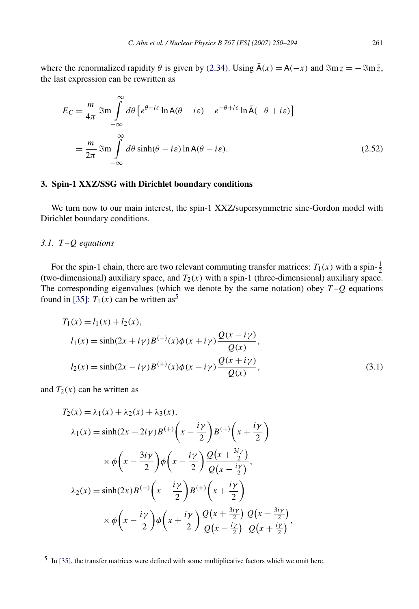<span id="page-11-0"></span>where the renormalized rapidity  $\theta$  is given by [\(2.34\).](#page-8-0) Using  $\bar{A}(x) = A(-x)$  and  $\Im m z = -\Im m \bar{z}$ , the last expression can be rewritten as

$$
E_C = \frac{m}{4\pi} \Im \text{m} \int_{-\infty}^{\infty} d\theta \left[ e^{\theta - i\varepsilon} \ln \mathsf{A}(\theta - i\varepsilon) - e^{-\theta + i\varepsilon} \ln \bar{\mathsf{A}}(-\theta + i\varepsilon) \right]
$$

$$
= \frac{m}{2\pi} \Im \text{m} \int_{-\infty}^{\infty} d\theta \sinh(\theta - i\varepsilon) \ln \mathsf{A}(\theta - i\varepsilon).
$$
(2.52)

#### **3. Spin-1 XXZ/SSG with Dirichlet boundary conditions**

We turn now to our main interest, the spin-1 XXZ/supersymmetric sine-Gordon model with Dirichlet boundary conditions.

# *3.1. T –Q equations*

For the spin-1 chain, there are two relevant commuting transfer matrices:  $T_1(x)$  with a spin- $\frac{1}{2}$ (two-dimensional) auxiliary space, and  $T_2(x)$  with a spin-1 (three-dimensional) auxiliary space. The corresponding eigenvalues (which we denote by the same notation) obey  $T-Q$  equations found in [\[35\]:](#page-44-0)  $T_1(x)$  can be written as<sup>5</sup>

$$
T_1(x) = l_1(x) + l_2(x),
$$
  
\n
$$
l_1(x) = \sinh(2x + i\gamma)B^{(-)}(x)\phi(x + i\gamma)\frac{Q(x - i\gamma)}{Q(x)},
$$
  
\n
$$
l_2(x) = \sinh(2x - i\gamma)B^{(+)}(x)\phi(x - i\gamma)\frac{Q(x + i\gamma)}{Q(x)},
$$
\n(3.1)

and  $T_2(x)$  can be written as

$$
T_2(x) = \lambda_1(x) + \lambda_2(x) + \lambda_3(x),
$$
  
\n
$$
\lambda_1(x) = \sinh(2x - 2i\gamma)B^{(+)}\left(x - \frac{i\gamma}{2}\right)B^{(+)}\left(x + \frac{i\gamma}{2}\right)
$$
  
\n
$$
\times \phi\left(x - \frac{3i\gamma}{2}\right)\phi\left(x - \frac{i\gamma}{2}\right)\frac{Q\left(x + \frac{3i\gamma}{2}\right)}{Q\left(x - \frac{i\gamma}{2}\right)},
$$
  
\n
$$
\lambda_2(x) = \sinh(2x)B^{(-)}\left(x - \frac{i\gamma}{2}\right)B^{(+)}\left(x + \frac{i\gamma}{2}\right)
$$
  
\n
$$
\times \phi\left(x - \frac{i\gamma}{2}\right)\phi\left(x + \frac{i\gamma}{2}\right)\frac{Q\left(x + \frac{3i\gamma}{2}\right)}{Q\left(x - \frac{i\gamma}{2}\right)}\frac{Q\left(x - \frac{3i\gamma}{2}\right)}{Q\left(x + \frac{i\gamma}{2}\right)},
$$

 $5$  In [\[35\],](#page-44-0) the transfer matrices were defined with some multiplicative factors which we omit here.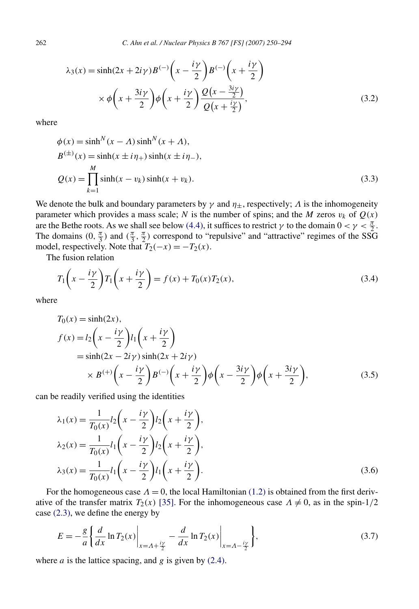$$
\lambda_3(x) = \sinh(2x + 2i\gamma)B^{(-)}\left(x - \frac{i\gamma}{2}\right)B^{(-)}\left(x + \frac{i\gamma}{2}\right)
$$
  
 
$$
\times \phi\left(x + \frac{3i\gamma}{2}\right)\phi\left(x + \frac{i\gamma}{2}\right)\frac{Q(x - \frac{3i\gamma}{2})}{Q(x + \frac{i\gamma}{2})},
$$
 (3.2)

where

$$
\phi(x) = \sinh^N(x - \Lambda) \sinh^N(x + \Lambda),
$$
  
\n
$$
B^{(\pm)}(x) = \sinh(x \pm i\eta_+) \sinh(x \pm i\eta_-),
$$
  
\n
$$
Q(x) = \prod_{k=1}^M \sinh(x - v_k) \sinh(x + v_k).
$$
\n(3.3)

We denote the bulk and boundary parameters by  $\gamma$  and  $\eta_+$ , respectively;  $\Lambda$  is the inhomogeneity parameter which provides a mass scale; *N* is the number of spins; and the *M* zeros  $v_k$  of  $Q(x)$ are the Bethe roots. As we shall see below [\(4.4\),](#page-20-0) it suffices to restrict *γ* to the domain  $0 < \gamma < \frac{\pi}{2}$ . The domains  $(0, \frac{\pi}{3})$  and  $(\frac{\pi}{3}, \frac{\pi}{2})$  correspond to "repulsive" and "attractive" regimes of the SSG model, respectively. Note that  $T_2(-x) = -T_2(x)$ .

The fusion relation

$$
T_1\left(x-\frac{i\gamma}{2}\right)T_1\left(x+\frac{i\gamma}{2}\right) = f(x) + T_0(x)T_2(x),\tag{3.4}
$$

where

$$
T_0(x) = \sinh(2x),
$$
  
\n
$$
f(x) = l_2\left(x - \frac{i\gamma}{2}\right)l_1\left(x + \frac{i\gamma}{2}\right)
$$
  
\n
$$
= \sinh(2x - 2i\gamma)\sinh(2x + 2i\gamma)
$$
  
\n
$$
\times B^{(+)}\left(x - \frac{i\gamma}{2}\right)B^{(-)}\left(x + \frac{i\gamma}{2}\right)\phi\left(x - \frac{3i\gamma}{2}\right)\phi\left(x + \frac{3i\gamma}{2}\right),
$$
\n(3.5)

can be readily verified using the identities

$$
\lambda_1(x) = \frac{1}{T_0(x)} l_2 \left( x - \frac{i\gamma}{2} \right) l_2 \left( x + \frac{i\gamma}{2} \right),
$$
  
\n
$$
\lambda_2(x) = \frac{1}{T_0(x)} l_1 \left( x - \frac{i\gamma}{2} \right) l_2 \left( x + \frac{i\gamma}{2} \right),
$$
  
\n
$$
\lambda_3(x) = \frac{1}{T_0(x)} l_1 \left( x - \frac{i\gamma}{2} \right) l_1 \left( x + \frac{i\gamma}{2} \right).
$$
\n(3.6)

For the homogeneous case  $\Lambda = 0$ , the local Hamiltonian [\(1.2\)](#page-2-0) is obtained from the first derivative of the transfer matrix  $T_2(x)$  [\[35\].](#page-44-0) For the inhomogeneous case  $\Lambda \neq 0$ , as in the spin-1/2 case [\(2.3\),](#page-4-0) we define the energy by

$$
E = -\frac{g}{a} \left\{ \frac{d}{dx} \ln T_2(x) \Big|_{x = A + \frac{iy}{2}} - \frac{d}{dx} \ln T_2(x) \Big|_{x = A - \frac{iy}{2}} \right\},\tag{3.7}
$$

where  $a$  is the lattice spacing, and  $g$  is given by  $(2.4)$ .

<span id="page-12-0"></span>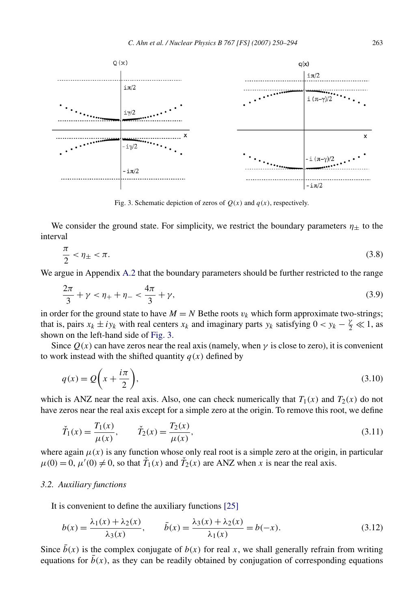<span id="page-13-0"></span>

Fig. 3. Schematic depiction of zeros of  $O(x)$  and  $q(x)$ , respectively.

We consider the ground state. For simplicity, we restrict the boundary parameters  $\eta_{\pm}$  to the interval

$$
\frac{\pi}{2} < \eta_{\pm} < \pi. \tag{3.8}
$$

We argue in Appendix [A.2](#page-34-0) that the boundary parameters should be further restricted to the range

$$
\frac{2\pi}{3} + \gamma < \eta_+ + \eta_- < \frac{4\pi}{3} + \gamma,\tag{3.9}
$$

in order for the ground state to have  $M = N$  Bethe roots  $v_k$  which form approximate two-strings; that is, pairs  $x_k \pm iy_k$  with real centers  $x_k$  and imaginary parts  $y_k$  satisfying  $0 < y_k - \frac{\gamma}{2} \ll 1$ , as shown on the left-hand side of Fig. 3.

Since  $Q(x)$  can have zeros near the real axis (namely, when  $\gamma$  is close to zero), it is convenient to work instead with the shifted quantity  $q(x)$  defined by

$$
q(x) = Q\left(x + \frac{i\pi}{2}\right),\tag{3.10}
$$

which is ANZ near the real axis. Also, one can check numerically that  $T_1(x)$  and  $T_2(x)$  do not have zeros near the real axis except for a simple zero at the origin. To remove this root, we define

$$
\check{T}_1(x) = \frac{T_1(x)}{\mu(x)}, \qquad \check{T}_2(x) = \frac{T_2(x)}{\mu(x)}, \tag{3.11}
$$

where again  $\mu(x)$  is any function whose only real root is a simple zero at the origin, in particular  $\mu(0) = 0$ ,  $\mu'(0) \neq 0$ , so that  $\check{T}_1(x)$  and  $\check{T}_2(x)$  are ANZ when *x* is near the real axis.

#### *3.2. Auxiliary functions*

It is convenient to define the auxiliary functions [\[25\]](#page-43-0)

$$
b(x) = \frac{\lambda_1(x) + \lambda_2(x)}{\lambda_3(x)}, \qquad \bar{b}(x) = \frac{\lambda_3(x) + \lambda_2(x)}{\lambda_1(x)} = b(-x). \tag{3.12}
$$

Since  $b(x)$  is the complex conjugate of  $b(x)$  for real x, we shall generally refrain from writing equations for  $b(x)$ , as they can be readily obtained by conjugation of corresponding equations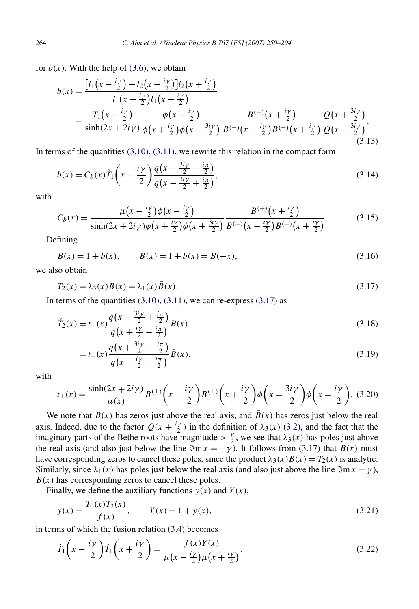<span id="page-14-0"></span>for  $b(x)$ . With the help of [\(3.6\),](#page-12-0) we obtain

$$
b(x) = \frac{\left[l_1\left(x - \frac{iy}{2}\right) + l_2\left(x - \frac{iy}{2}\right)\right]l_2\left(x + \frac{iy}{2}\right)}{l_1\left(x - \frac{iy}{2}\right)l_1\left(x + \frac{iy}{2}\right)}
$$
  
= 
$$
\frac{T_1\left(x - \frac{iy}{2}\right)}{\sinh(2x + 2iy)} \frac{\phi\left(x - \frac{iy}{2}\right)}{\phi\left(x + \frac{iy}{2}\right)\phi\left(x + \frac{3iy}{2}\right)} \frac{B^{(+)}\left(x + \frac{iy}{2}\right)}{B^{(-)}\left(x - \frac{iy}{2}\right)B^{(-)}\left(x + \frac{iy}{2}\right)} \frac{Q\left(x + \frac{3iy}{2}\right)}{Q\left(x - \frac{3iy}{2}\right)}. \tag{3.13}
$$

In terms of the quantities  $(3.10)$ ,  $(3.11)$ , we rewrite this relation in the compact form

$$
b(x) = C_b(x)\check{T}_1\left(x - \frac{i\gamma}{2}\right)\frac{q\left(x + \frac{3i\gamma}{2} - \frac{i\pi}{2}\right)}{q\left(x - \frac{3i\gamma}{2} + \frac{i\pi}{2}\right)},
$$
\n(3.14)

with

$$
C_b(x) = \frac{\mu\left(x - \frac{i\gamma}{2}\right)\phi\left(x - \frac{i\gamma}{2}\right)}{\sinh(2x + 2i\gamma)\phi\left(x + \frac{i\gamma}{2}\right)\phi\left(x + \frac{3i\gamma}{2}\right)} \frac{B^{(+)}\left(x + \frac{i\gamma}{2}\right)}{B^{(-)}\left(x - \frac{i\gamma}{2}\right)B^{(-)}\left(x + \frac{i\gamma}{2}\right)}.\tag{3.15}
$$

Defining

$$
B(x) = 1 + b(x), \qquad \bar{B}(x) = 1 + \bar{b}(x) = B(-x), \tag{3.16}
$$

we also obtain

$$
T_2(x) = \lambda_3(x)B(x) = \lambda_1(x)\bar{B}(x).
$$
\n(3.17)

In terms of the quantities  $(3.10)$ ,  $(3.11)$ , we can re-express  $(3.17)$  as

$$
\tilde{T}_2(x) = t_-(x) \frac{q\left(x - \frac{3i\gamma}{2} + \frac{i\pi}{2}\right)}{q\left(x + \frac{i\gamma}{2} - \frac{i\pi}{2}\right)} B(x)
$$
\n(3.18)

$$
=t_{+}(x)\frac{q\left(x+\frac{3iy}{2}-\frac{i\pi}{2}\right)}{q\left(x-\frac{iy}{2}+\frac{i\pi}{2}\right)}\bar{B}(x),
$$
\n(3.19)

with

$$
t_{\pm}(x) = \frac{\sinh(2x \mp 2i\gamma)}{\mu(x)} B^{(\pm)}\left(x - \frac{i\gamma}{2}\right) B^{(\pm)}\left(x + \frac{i\gamma}{2}\right) \phi\left(x \mp \frac{3i\gamma}{2}\right) \phi\left(x \mp \frac{i\gamma}{2}\right). \tag{3.20}
$$

We note that  $B(x)$  has zeros just above the real axis, and  $B(x)$  has zeros just below the real axis. Indeed, due to the factor  $Q(x + \frac{i\gamma}{2})$  in the definition of  $\lambda_3(x)$  [\(3.2\),](#page-12-0) and the fact that the imaginary parts of the Bethe roots have magnitude  $> \frac{\gamma}{2}$ , we see that  $\lambda_3(x)$  has poles just above the real axis (and also just below the line  $\Im m x = -\gamma$ ). It follows from (3.17) that *B(x)* must have corresponding zeros to cancel these poles, since the product  $\lambda_3(x)B(x) = T_2(x)$  is analytic. Similarly, since  $\lambda_1(x)$  has poles just below the real axis (and also just above the line  $\Im \text{m x} = \gamma$ ),  $B(x)$  has corresponding zeros to cancel these poles.

Finally, we define the auxiliary functions  $y(x)$  and  $Y(x)$ ,

$$
y(x) = \frac{T_0(x)T_2(x)}{f(x)}, \qquad Y(x) = 1 + y(x), \tag{3.21}
$$

in terms of which the fusion relation [\(3.4\)](#page-12-0) becomes

$$
\check{T}_1\left(x-\frac{i\gamma}{2}\right)\check{T}_1\left(x+\frac{i\gamma}{2}\right) = \frac{f(x)Y(x)}{\mu\left(x-\frac{i\gamma}{2}\right)\mu\left(x+\frac{i\gamma}{2}\right)}.\tag{3.22}
$$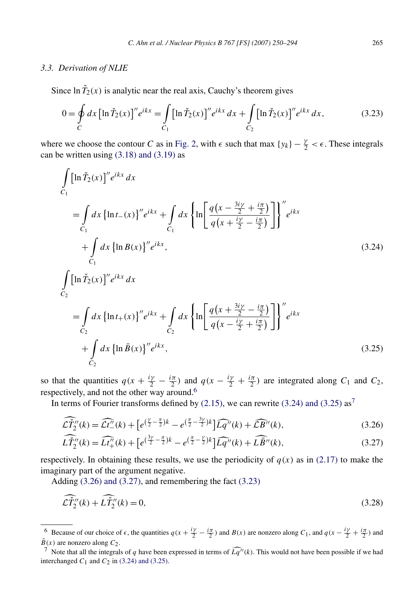#### <span id="page-15-0"></span>*3.3. Derivation of NLIE*

Since  $\ln \tilde{T}_2(x)$  is analytic near the real axis, Cauchy's theorem gives

$$
0 = \oint_C dx \left[ \ln \tilde{T}_2(x) \right]'' e^{ikx} = \int_{C_1} \left[ \ln \tilde{T}_2(x) \right]'' e^{ikx} dx + \int_{C_2} \left[ \ln \tilde{T}_2(x) \right]'' e^{ikx} dx, \tag{3.23}
$$

where we choose the contour *C* as in [Fig. 2,](#page-5-0) with  $\epsilon$  such that max  $\{y_k\} - \frac{\gamma}{2} < \epsilon$ . These integrals can be written using  $(3.18)$  and  $(3.19)$  as

$$
\int_{C_1} [\ln \check{T}_2(x)]'' e^{ikx} dx
$$
\n
$$
= \int_{C_1} dx \{ \ln t_{-}(x) \}'' e^{ikx} + \int_{C_1} dx \{ \ln \left[ \frac{q(x - \frac{3iy}{2} + \frac{i\pi}{2})}{q(x + \frac{iy}{2} - \frac{i\pi}{2})} \right] \}'' e^{ikx}
$$
\n
$$
+ \int_{C_1} dx \{ \ln B(x) \}'' e^{ikx},
$$
\n
$$
\int_{C_2} [\ln \check{T}_2(x)]'' e^{ikx} dx
$$
\n
$$
= \int_{C_2} dx \{ \ln t_{+}(x) \}'' e^{ikx} + \int_{C_2} dx \{ \ln \left[ \frac{q(x + \frac{3iy}{2} - \frac{i\pi}{2})}{q(x - \frac{iy}{2} + \frac{i\pi}{2})} \right] \}'' e^{ikx}
$$
\n
$$
+ \int_{C_2} dx \{ \ln \check{B}(x) \}'' e^{ikx},
$$
\n(3.25)

so that the quantities  $q(x + \frac{i\gamma}{2} - \frac{i\pi}{2})$  and  $q(x - \frac{i\gamma}{2} + \frac{i\pi}{2})$  are integrated along  $C_1$  and  $C_2$ , respectively, and not the other way around.<sup>6</sup>

In terms of Fourier transforms defined by  $(2.15)$ , we can rewrite  $(3.24)$  and  $(3.25)$  as<sup>7</sup>

$$
\widehat{\mathcal{L}\mathcal{I}}_{2}^{\prime\prime}(k) = \widehat{\mathcal{L}\mathcal{t}}_{-}^{\prime\prime}(k) + \left[e^{\left(\frac{\gamma}{2} - \frac{\pi}{2}\right)k} - e^{\left(\frac{\pi}{2} - \frac{3\gamma}{2}\right)k}\right] \widehat{Lq}^{\prime\prime}(k) + \widehat{\mathcal{L}B}^{\prime\prime}(k),\tag{3.26}
$$

$$
\widehat{L\tilde{T}}_{2}^{"}(k) = \widehat{Lt}_{+}^{"}(k) + \left[e^{(\frac{3\gamma}{2} - \frac{\pi}{2})k} - e^{(\frac{\pi}{2} - \frac{\gamma}{2})k}\right] \widehat{Lq}^{"}(k) + \widehat{L\bar{B}}^{"}(k),\tag{3.27}
$$

respectively. In obtaining these results, we use the periodicity of  $q(x)$  as in [\(2.17\)](#page-6-0) to make the imaginary part of the argument negative.

Adding (3.26) and (3.27), and remembering the fact (3.23)

$$
\widehat{\mathcal{L}}\widetilde{T}''_2(k) + \widehat{L}\widetilde{T}''_2(k) = 0,\tag{3.28}
$$

<sup>6</sup> Because of our choice of  $\epsilon$ , the quantities  $q(x + \frac{i\gamma}{2} - \frac{i\pi}{2})$  and  $B(x)$  are nonzero along  $C_1$ , and  $q(x - \frac{i\gamma}{2} + \frac{i\pi}{2})$  and  $\overline{B}(x)$  are nonzero along  $C_2$ .<br><sup>7</sup> Note that all the integrals of *q* have been expressed in terms of  $\widehat{Lq''}(k)$ . This would not have been possible if we had

interchanged  $C_1$  and  $C_2$  in (3.24) and (3.25).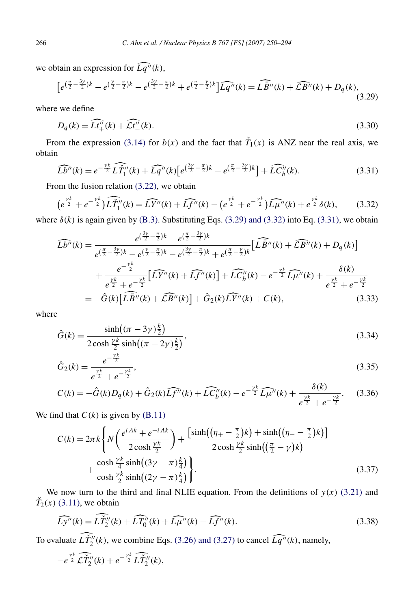<span id="page-16-0"></span>we obtain an expression for  $\widehat{Lq''}(k)$ ,

$$
\left[e^{(\frac{\pi}{2}-\frac{3\gamma}{2})k} - e^{(\frac{\gamma}{2}-\frac{\pi}{2})k} - e^{(\frac{3\gamma}{2}-\frac{\pi}{2})k} + e^{(\frac{\pi}{2}-\frac{\gamma}{2})k}\right] \widehat{Lq''}(k) = \widehat{L\bar{B}''}(k) + \widehat{L\bar{B}''}(k) + D_q(k),\tag{3.29}
$$

where we define

$$
D_q(k) = \widehat{Lt''_+}(k) + \widehat{\mathcal{Lt}''_-}(k). \tag{3.30}
$$

From the expression [\(3.14\)](#page-14-0) for  $b(x)$  and the fact that  $\tilde{T}_1(x)$  is ANZ near the real axis, we obtain

$$
\widehat{Lb''}(k) = e^{-\frac{\gamma k}{2}} \widehat{LT_1''}(k) + \widehat{Lq''}(k) \left[ e^{\left(\frac{3\gamma}{2} - \frac{\pi}{2}\right)k} - e^{\left(\frac{\pi}{2} - \frac{3\gamma}{2}\right)k} \right] + \widehat{LC_b''}(k). \tag{3.31}
$$

From the fusion relation [\(3.22\),](#page-14-0) we obtain

$$
\left(e^{\frac{\gamma k}{2}} + e^{-\frac{\gamma k}{2}}\right) \widehat{L\tilde{T}_1''}(k) = \widehat{LY''}(k) + \widehat{Lf''}(k) - \left(e^{\frac{\gamma k}{2}} + e^{-\frac{\gamma k}{2}}\right) \widehat{L\mu''}(k) + e^{\frac{\gamma k}{2}}\delta(k),\tag{3.32}
$$

where  $\delta(k)$  is again given by [\(B.3\).](#page-35-0) Substituting Eqs. (3.29) and (3.32) into Eq. (3.31), we obtain

$$
\widehat{Lb''}(k) = \frac{e^{(\frac{3\gamma}{2} - \frac{\pi}{2})k} - e^{(\frac{\pi}{2} - \frac{3\gamma}{2})k}}{e^{(\frac{\pi}{2} - \frac{3\gamma}{2})k} - e^{(\frac{\gamma}{2} - \frac{\pi}{2})k} - e^{(\frac{3\gamma}{2} - \frac{\pi}{2})k} + e^{(\frac{\pi}{2} - \frac{\gamma}{2})k}} \left[ \widehat{L\tilde{B}''}(k) + \widehat{L\tilde{B}''}(k) + D_q(k) \right] + \frac{e^{-\frac{\gamma k}{2}}}{e^{\frac{\gamma k}{2}} + e^{-\frac{\gamma k}{2}}} \left[ \widehat{LY''}(k) + \widehat{Lf''}(k) \right] + \widehat{LC''}_b(k) - e^{-\frac{\gamma k}{2}} \widehat{L\mu''}(k) + \frac{\delta(k)}{e^{\frac{\gamma k}{2}} + e^{-\frac{\gamma k}{2}}} = -\hat{G}(k) \left[ \widehat{L\tilde{B}''}(k) + \widehat{L\tilde{B}''}(k) \right] + \hat{G}_2(k) \widehat{LY''}(k) + C(k), \tag{3.33}
$$

where

$$
\hat{G}(k) = \frac{\sinh((\pi - 3\gamma)\frac{k}{2})}{2\cosh\frac{\gamma k}{2}\sinh((\pi - 2\gamma)\frac{k}{2})},
$$
\n(3.34)

$$
\hat{G}_2(k) = \frac{e^{-\frac{\gamma k}{2}}}{e^{\frac{\gamma k}{2}} + e^{-\frac{\gamma k}{2}}},\tag{3.35}
$$

$$
C(k) = -\hat{G}(k)D_q(k) + \hat{G}_2(k)\widehat{Lf''}(k) + \widehat{LC''_b}(k) - e^{-\frac{\gamma k}{2}}\widehat{L\mu''}(k) + \frac{\delta(k)}{e^{\frac{\gamma k}{2}} + e^{-\frac{\gamma k}{2}}}.
$$
 (3.36)

We find that  $C(k)$  is given by  $(B.11)$ 

$$
C(k) = 2\pi k \left\{ N \left( \frac{e^{i\Lambda k} + e^{-i\Lambda k}}{2\cosh\frac{\gamma k}{2}} \right) + \frac{\left[ \sinh\left( (\eta_{+} - \frac{\pi}{2})k \right) + \sinh\left( (\eta_{-} - \frac{\pi}{2})k \right) \right]}{2\cosh\frac{\gamma k}{2}\sinh\left( (\frac{\pi}{2} - \gamma)k \right)} + \frac{\cosh\frac{\gamma k}{4}\sinh\left( (3\gamma - \pi) \frac{k}{4} \right)}{\cosh\frac{\gamma k}{2}\sinh\left( (2\gamma - \pi) \frac{k}{4} \right)} \right\}.
$$
\n(3.37)

We now turn to the third and final NLIE equation. From the definitions of  $y(x)$  [\(3.21\)](#page-14-0) and  $\check{T}_2(x)$  [\(3.11\),](#page-13-0) we obtain

$$
\widehat{Ly''}(k) = \widehat{L\widetilde{T}_2''}(k) + \widehat{LT_0''}(k) + \widehat{L\mu''}(k) - \widehat{Lf''}(k).
$$
\n(3.38)

To evaluate  $L\check{T}''_2(k)$ , we combine Eqs. [\(3.26\) and \(3.27\)](#page-15-0) to cancel  $\widehat{Lq}''(k)$ , namely,

$$
-e^{\frac{\gamma k}{2}}\widehat{\mathcal{L}}\widehat{\check{T}}''_2(k)+e^{-\frac{\gamma k}{2}}\widehat{\mathcal{L}}\widehat{\check{T}}''_2(k),
$$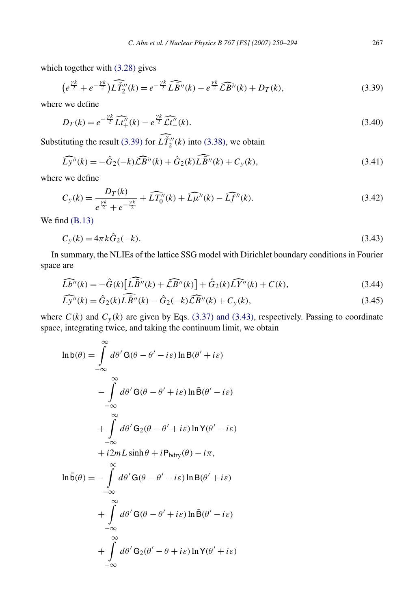<span id="page-17-0"></span>which together with [\(3.28\)](#page-15-0) gives

∞

$$
\left(e^{\frac{\gamma k}{2}} + e^{-\frac{\gamma k}{2}}\right) \widehat{L\tilde{T}_2}''(k) = e^{-\frac{\gamma k}{2}} \widehat{L\tilde{B}''}(k) - e^{\frac{\gamma k}{2}} \widehat{L\tilde{B}''}(k) + D_T(k),\tag{3.39}
$$

where we define

$$
D_T(k) = e^{-\frac{\gamma k}{2}} \widehat{Lt''_+(k)} - e^{\frac{\gamma k}{2}} \widehat{Lt''_-(k)}.
$$
 (3.40)

Substituting the result (3.39) for  $L\tilde{T}_2''(k)$  into [\(3.38\),](#page-16-0) we obtain

$$
\widehat{Ly''}(k) = -\widehat{G}_2(-k)\widehat{\mathcal{LB}''}(k) + \widehat{G}_2(k)\widehat{L\widehat{B}''}(k) + C_y(k),\tag{3.41}
$$

where we define

$$
C_{y}(k) = \frac{D_{T}(k)}{e^{\frac{\gamma k}{2}} + e^{-\frac{\gamma k}{2}}} + \widehat{LT}_{0}^{\prime\prime}(k) + \widehat{L\mu}^{\prime\prime}(k) - \widehat{Lf}^{\prime\prime}(k).
$$
 (3.42)

We find  $(B.13)$ 

$$
C_y(k) = 4\pi k \hat{G}_2(-k). \tag{3.43}
$$

In summary, the NLIEs of the lattice SSG model with Dirichlet boundary conditions in Fourier space are

$$
\widehat{L}\widehat{b''}(k) = -\widehat{G}(k)\left[\widehat{L}\widehat{B''}(k) + \widehat{L}\widehat{B''}(k)\right] + \widehat{G}_2(k)\widehat{L}\widehat{Y''}(k) + C(k),\tag{3.44}
$$

$$
\widehat{Ly''}(k) = \widehat{G}_2(k)\widehat{L}\widehat{B''}(k) - \widehat{G}_2(-k)\widehat{L}\widehat{B''}(k) + C_y(k),\tag{3.45}
$$

where  $C(k)$  and  $C<sub>y</sub>(k)$  are given by Eqs. [\(3.37\) and \(3.43\),](#page-16-0) respectively. Passing to coordinate space, integrating twice, and taking the continuum limit, we obtain

$$
\ln b(\theta) = \int_{-\infty}^{\infty} d\theta' G(\theta - \theta' - i\varepsilon) \ln B(\theta' + i\varepsilon)
$$

$$
- \int_{-\infty}^{\infty} d\theta' G(\theta - \theta' + i\varepsilon) \ln \bar{B}(\theta' - i\varepsilon)
$$

$$
+ \int_{-\infty}^{\infty} d\theta' G_2(\theta - \theta' + i\varepsilon) \ln \Upsilon(\theta' - i\varepsilon)
$$

$$
+ i2mL \sinh \theta + iP_{bdry}(\theta) - i\pi,
$$

$$
\ln \bar{b}(\theta) = - \int_{-\infty}^{\infty} d\theta' G(\theta - \theta' - i\varepsilon) \ln B(\theta' + i\varepsilon)
$$

$$
+ \int_{-\infty}^{\infty} d\theta' G(\theta - \theta' + i\varepsilon) \ln \bar{B}(\theta' - i\varepsilon)
$$

$$
+ \int_{-\infty}^{\infty} d\theta' G_2(\theta' - \theta + i\varepsilon) \ln \Upsilon(\theta' + i\varepsilon)
$$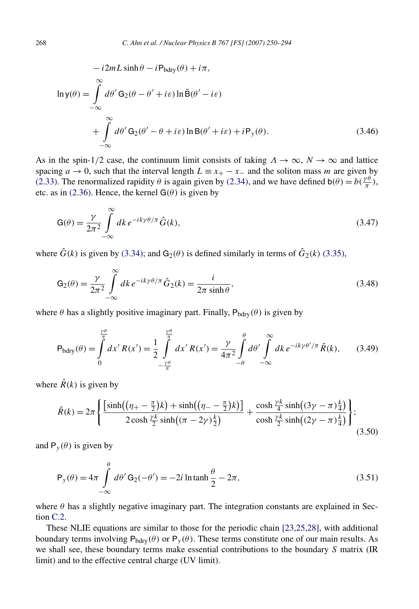<span id="page-18-0"></span>
$$
-i2mL\sinh\theta - iP_{bdry}(\theta) + i\pi,
$$
  
\n
$$
\ln y(\theta) = \int_{-\infty}^{\infty} d\theta' G_2(\theta - \theta' + i\varepsilon) \ln \bar{B}(\theta' - i\varepsilon)
$$
  
\n
$$
+ \int_{-\infty}^{\infty} d\theta' G_2(\theta' - \theta + i\varepsilon) \ln B(\theta' + i\varepsilon) + iP_y(\theta).
$$
\n(3.46)

As in the spin-1/2 case, the continuum limit consists of taking  $\Lambda \to \infty$ ,  $N \to \infty$  and lattice spacing  $a \to 0$ , such that the interval length  $L \equiv x_+ - x_-$  and the soliton mass *m* are given by [\(2.33\).](#page-8-0) The renormalized rapidity  $\theta$  is again given by [\(2.34\),](#page-8-0) and we have defined  $b(\theta) = b(\frac{\gamma \theta}{\pi})$ , etc. as in [\(2.36\).](#page-8-0) Hence, the kernel  $G(\theta)$  is given by

$$
G(\theta) = \frac{\gamma}{2\pi^2} \int_{-\infty}^{\infty} dk \, e^{-ik\gamma\theta/\pi} \hat{G}(k),\tag{3.47}
$$

where  $\hat{G}(k)$  is given by [\(3.34\);](#page-16-0) and  $G_2(\theta)$  is defined similarly in terms of  $\hat{G}_2(k)$  [\(3.35\),](#page-16-0)

$$
G_2(\theta) = \frac{\gamma}{2\pi^2} \int_{-\infty}^{\infty} dk \, e^{-ik\gamma\theta/\pi} \hat{G}_2(k) = \frac{i}{2\pi \sinh\theta},\tag{3.48}
$$

where  $\theta$  has a slightly positive imaginary part. Finally,  $P_{bdry}(\theta)$  is given by

$$
P_{bdry}(\theta) = \int_{0}^{\frac{\gamma \theta}{\pi}} dx' R(x') = \frac{1}{2} \int_{-\frac{\gamma \theta}{\pi}}^{\frac{\gamma \theta}{\pi}} dx' R(x') = \frac{\gamma}{4\pi^2} \int_{-\theta}^{\theta} d\theta' \int_{-\infty}^{\infty} dk \, e^{-ik\gamma \theta'/\pi} \, \hat{R}(k), \tag{3.49}
$$

where  $\hat{R}(k)$  is given by

$$
\hat{R}(k) = 2\pi \left\{ \frac{\left[\sinh\left((\eta_{+} - \frac{\pi}{2})k\right) + \sinh\left((\eta_{-} - \frac{\pi}{2})k\right)\right]}{2\cosh\frac{\gamma k}{2}\sinh\left((\pi - 2\gamma)\frac{k}{2}\right)} + \frac{\cosh\frac{\gamma k}{4}\sinh\left((3\gamma - \pi)\frac{k}{4}\right)}{\cosh\frac{\gamma k}{2}\sinh\left((2\gamma - \pi)\frac{k}{4}\right)} \right\};\tag{3.50}
$$

and  $P_y(\theta)$  is given by

$$
P_y(\theta) = 4\pi \int_{-\infty}^{\theta} d\theta' G_2(-\theta') = -2i \ln \tanh \frac{\theta}{2} - 2\pi,
$$
\n(3.51)

where  $\theta$  has a slightly negative imaginary part. The integration constants are explained in Section [C.2.](#page-40-0)

These NLIE equations are similar to those for the periodic chain [\[23,25,28\],](#page-43-0) with additional boundary terms involving  $P_{\text{bdry}}(\theta)$  or  $P_y(\theta)$ . These terms constitute one of our main results. As we shall see, these boundary terms make essential contributions to the boundary *S* matrix (IR limit) and to the effective central charge (UV limit).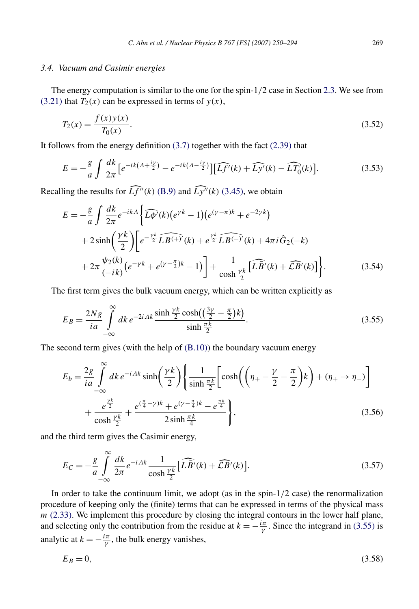# <span id="page-19-0"></span>*3.4. Vacuum and Casimir energies*

The energy computation is similar to the one for the spin-1*/*2 case in Section [2.3.](#page-8-0) We see from  $(3.21)$  that  $T_2(x)$  can be expressed in terms of  $y(x)$ ,

$$
T_2(x) = \frac{f(x)y(x)}{T_0(x)}.
$$
\n(3.52)

It follows from the energy definition [\(3.7\)](#page-12-0) together with the fact [\(2.39\)](#page-8-0) that

$$
E = -\frac{g}{a} \int \frac{dk}{2\pi} \left[ e^{-ik\left(A + \frac{iy}{2}\right)} - e^{-ik\left(A - \frac{iy}{2}\right)} \right] \left[ \widehat{Lf'}(k) + \widehat{Ly'}(k) - \widehat{LT'_0}(k) \right].\tag{3.53}
$$

Recalling the results for  $\widehat{Lf''(k)}$  [\(B.9\)](#page-37-0) and  $\widehat{Ly''(k)}$  [\(3.45\),](#page-17-0) we obtain

$$
E = -\frac{g}{a} \int \frac{dk}{2\pi} e^{-ikA} \left\{ \widehat{L\phi'}(k) (e^{\gamma k} - 1) (e^{(\gamma - \pi)k} + e^{-2\gamma k}) + 2 \sinh\left(\frac{\gamma k}{2}\right) \left[ e^{-\frac{\gamma k}{2}} \widehat{L} \widehat{B^{(+)'}}(k) + e^{\frac{\gamma k}{2}} \widehat{L} \widehat{B^{(-)}}'(k) + 4\pi i \widehat{G}_2(-k) + 2\pi \frac{\psi_2(k)}{(-ik)} (e^{-\gamma k} + e^{(\gamma - \frac{\pi}{2})k} - 1) \right] + \frac{1}{\cosh\frac{\gamma k}{2}} \left[ \widehat{L} \widehat{B'}(k) + \widehat{L} \widehat{B'}(k) \right] \right\}.
$$
 (3.54)

The first term gives the bulk vacuum energy, which can be written explicitly as

$$
E_B = \frac{2Ng}{ia} \int_{-\infty}^{\infty} dk \, e^{-2iAk} \frac{\sinh\frac{\gamma k}{2}\cosh\left(\left(\frac{3\gamma}{2} - \frac{\pi}{2}\right)k\right)}{\sinh\frac{\pi k}{2}}.\tag{3.55}
$$

The second term gives (with the help of [\(B.10\)\)](#page-37-0) the boundary vacuum energy

$$
E_b = \frac{2g}{ia} \int_{-\infty}^{\infty} dk \, e^{-iAk} \sinh\left(\frac{\gamma k}{2}\right) \left\{ \frac{1}{\sinh\frac{\pi k}{2}} \left[ \cosh\left(\left(\eta_+ - \frac{\gamma}{2} - \frac{\pi}{2}\right)k\right) + (\eta_+ \to \eta_-) \right] \right. \\ + \left. \frac{e^{\frac{\gamma k}{2}}}{\cosh\frac{\gamma k}{2}} + \frac{e^{(\frac{\pi}{4} - \gamma)k} + e^{(\gamma - \frac{\pi}{4})k} - e^{\frac{\pi k}{4}}}{2\sinh\frac{\pi k}{4}} \right\}, \tag{3.56}
$$

and the third term gives the Casimir energy,

$$
E_C = -\frac{g}{a} \int_{-\infty}^{\infty} \frac{dk}{2\pi} e^{-iAk} \frac{1}{\cosh\frac{\gamma k}{2}} \left[ \widehat{L}\widehat{B}'(k) + \widehat{L}B'(k) \right].
$$
 (3.57)

In order to take the continuum limit, we adopt (as in the spin-1*/*2 case) the renormalization procedure of keeping only the (finite) terms that can be expressed in terms of the physical mass *m* [\(2.33\).](#page-8-0) We implement this procedure by closing the integral contours in the lower half plane, and selecting only the contribution from the residue at  $k = -\frac{i\pi}{\gamma}$ . Since the integrand in (3.55) is analytic at  $k = -\frac{i\pi}{\gamma}$ , the bulk energy vanishes,

$$
E_B = 0,\t\t(3.58)
$$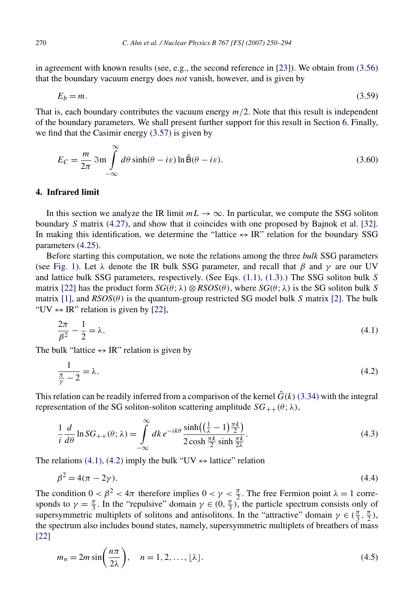<span id="page-20-0"></span>in agreement with known results (see, e.g., the second reference in [\[23\]\)](#page-43-0). We obtain from [\(3.56\)](#page-19-0) that the boundary vacuum energy does *not* vanish, however, and is given by

$$
E_b = m.\tag{3.59}
$$

That is, each boundary contributes the vacuum energy  $m/2$ . Note that this result is independent of the boundary parameters. We shall present further support for this result in Section [6.](#page-28-0) Finally, we find that the Casimir energy [\(3.57\)](#page-19-0) is given by

$$
E_C = \frac{m}{2\pi} \mathfrak{Im} \int_{-\infty}^{\infty} d\theta \sinh(\theta - i\varepsilon) \ln \bar{\mathsf{B}}(\theta - i\varepsilon).
$$
 (3.60)

#### **4. Infrared limit**

In this section we analyze the IR limit  $mL \to \infty$ . In particular, we compute the SSG soliton boundary *S* matrix [\(4.27\),](#page-23-0) and show that it coincides with one proposed by Bajnok et al. [\[32\].](#page-44-0) In making this identification, we determine the "lattice  $\leftrightarrow$  IR" relation for the boundary SSG parameters [\(4.25\).](#page-23-0)

Before starting this computation, we note the relations among the three *bulk* SSG parameters (see [Fig. 1\)](#page-1-0). Let  $\lambda$  denote the IR bulk SSG parameter, and recall that  $\beta$  and  $\gamma$  are our UV and lattice bulk SSG parameters, respectively. (See Eqs. [\(1.1\), \(1.3\).](#page-1-0)) The SSG soliton bulk *S* matrix [\[22\]](#page-43-0) has the product form  $SG(\theta; \lambda) \otimes RSOS(\theta)$ , where  $SG(\theta; \lambda)$  is the SG soliton bulk *S* matrix [\[1\],](#page-41-0) and  $RSOS(\theta)$  is the quantum-group restricted SG model bulk *S* matrix [\[2\].](#page-42-0) The bulk "UV  $\leftrightarrow$  IR" relation is given by [\[22\],](#page-43-0)

$$
\frac{2\pi}{\beta^2} - \frac{1}{2} = \lambda.
$$
\n<sup>(4.1)</sup>

The bulk "lattice  $\leftrightarrow$  IR" relation is given by

$$
\frac{1}{\frac{\pi}{\gamma} - 2} = \lambda. \tag{4.2}
$$

This relation can be readily inferred from a comparison of the kernel  $\hat{G}(k)$  [\(3.34\)](#page-16-0) with the integral representation of the SG soliton-soliton scattering amplitude  $SG_{++}(\theta; \lambda)$ ,

$$
\frac{1}{i}\frac{d}{d\theta}\ln SG_{++}(\theta;\lambda) = \int\limits_{-\infty}^{\infty} dk \, e^{-ik\theta} \frac{\sinh\left(\left(\frac{1}{\lambda} - 1\right)\frac{\pi k}{2}\right)}{2\cosh\frac{\pi k}{2}\sinh\frac{\pi k}{2\lambda}}.\tag{4.3}
$$

The relations (4.1), (4.2) imply the bulk "UV  $\leftrightarrow$  lattice" relation

$$
\beta^2 = 4(\pi - 2\gamma). \tag{4.4}
$$

The condition  $0 < \beta^2 < 4\pi$  therefore implies  $0 < \gamma < \frac{\pi}{2}$ . The free Fermion point  $\lambda = 1$  corresponds to  $\gamma = \frac{\pi}{3}$ . In the "repulsive" domain  $\gamma \in (0, \frac{\pi}{3})$ , the particle spectrum consists only of supersymmetric multiplets of solitons and antisolitons. In the "attractive" domain  $\gamma \in (\frac{\pi}{3}, \frac{\pi}{2})$ , the spectrum also includes bound states, namely, supersymmetric multiplets of breathers of mass [\[22\]](#page-43-0)

$$
m_n = 2m \sin\left(\frac{n\pi}{2\lambda}\right), \quad n = 1, 2, \dots, \lfloor \lambda \rfloor. \tag{4.5}
$$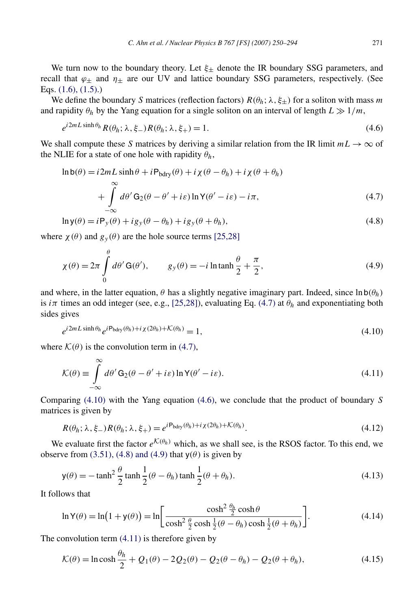<span id="page-21-0"></span>We turn now to the boundary theory. Let  $\xi_{\pm}$  denote the IR boundary SSG parameters, and recall that  $\varphi_{\pm}$  and  $\eta_{\pm}$  are our UV and lattice boundary SSG parameters, respectively. (See Eqs. [\(1.6\), \(1.5\).](#page-2-0))

We define the boundary *S* matrices (reflection factors)  $R(\theta_h; \lambda, \xi_+)$  for a soliton with mass *m* and rapidity  $\theta_h$  by the Yang equation for a single soliton on an interval of length  $L \gg 1/m$ ,

$$
e^{i2mL\sinh\theta_h}R(\theta_h;\lambda,\xi_-)R(\theta_h;\lambda,\xi_+) = 1.
$$
\n(4.6)

We shall compute these *S* matrices by deriving a similar relation from the IR limit  $mL \to \infty$  of the NLIE for a state of one hole with rapidity  $\theta_h$ ,

$$
\ln b(\theta) = i2mL \sinh \theta + iP_{bdry}(\theta) + i\chi(\theta - \theta_h) + i\chi(\theta + \theta_h)
$$
  
+ 
$$
\int_{-\infty}^{\infty} d\theta' G_2(\theta - \theta' + i\varepsilon) \ln Y(\theta' - i\varepsilon) - i\pi,
$$
 (4.7)

$$
\ln y(\theta) = iP_y(\theta) + ig_y(\theta - \theta_h) + ig_y(\theta + \theta_h),
$$
\n(4.8)

where  $\chi(\theta)$  and  $g_y(\theta)$  are the hole source terms [\[25,28\]](#page-43-0)

$$
\chi(\theta) = 2\pi \int_{0}^{\theta} d\theta' \mathbf{G}(\theta'), \qquad g_{y}(\theta) = -i \ln \tanh \frac{\theta}{2} + \frac{\pi}{2}, \tag{4.9}
$$

and where, in the latter equation,  $\theta$  has a slightly negative imaginary part. Indeed, since  $\ln b(\theta_h)$ is  $i\pi$  times an odd integer (see, e.g., [\[25,28\]\)](#page-43-0), evaluating Eq. (4.7) at  $\theta_h$  and exponentiating both sides gives

$$
e^{i2mL\sinh\theta_h}e^{i\mathbf{P}_{\text{bdry}}(\theta_h) + i\chi(2\theta_h) + \mathcal{K}(\theta_h)} = 1,
$$
\n(4.10)

where  $\mathcal{K}(\theta)$  is the convolution term in (4.7),

$$
\mathcal{K}(\theta) \equiv \int_{-\infty}^{\infty} d\theta' \mathbf{G}_2(\theta - \theta' + i\varepsilon) \ln \mathbf{Y}(\theta' - i\varepsilon).
$$
\n(4.11)

Comparing (4.10) with the Yang equation (4.6), we conclude that the product of boundary *S* matrices is given by

$$
R(\theta_h; \lambda, \xi_-) R(\theta_h; \lambda, \xi_+) = e^{i \mathbf{P}_{\text{bdry}}(\theta_h) + i \chi(2\theta_h) + \mathcal{K}(\theta_h)}.
$$
\n(4.12)

We evaluate first the factor  $e^{K(\theta_h)}$  which, as we shall see, is the RSOS factor. To this end, we observe from [\(3.51\), \(4.8\) and \(4.9\)](#page-18-0) that  $y(\theta)$  is given by

$$
y(\theta) = -\tanh^2\frac{\theta}{2}\tanh\frac{1}{2}(\theta - \theta_h)\tanh\frac{1}{2}(\theta + \theta_h). \tag{4.13}
$$

It follows that

$$
\ln Y(\theta) = \ln(1 + y(\theta)) = \ln\left[\frac{\cosh^2 \frac{\theta_h}{2} \cosh \theta}{\cosh^2 \frac{\theta}{2} \cosh \frac{1}{2} (\theta - \theta_h) \cosh \frac{1}{2} (\theta + \theta_h)}\right].
$$
\n(4.14)

The convolution term  $(4.11)$  is therefore given by

$$
\mathcal{K}(\theta) = \ln \cosh \frac{\theta_h}{2} + Q_1(\theta) - 2Q_2(\theta) - Q_2(\theta - \theta_h) - Q_2(\theta + \theta_h),\tag{4.15}
$$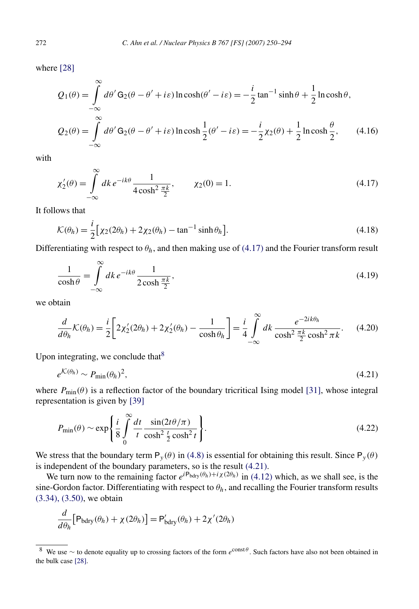where [\[28\]](#page-43-0)

$$
Q_1(\theta) = \int_{-\infty}^{\infty} d\theta' G_2(\theta - \theta' + i\varepsilon) \ln \cosh(\theta' - i\varepsilon) = -\frac{i}{2} \tan^{-1} \sinh \theta + \frac{1}{2} \ln \cosh \theta,
$$
  

$$
Q_2(\theta) = \int_{-\infty}^{\infty} d\theta' G_2(\theta - \theta' + i\varepsilon) \ln \cosh \frac{1}{2} (\theta' - i\varepsilon) = -\frac{i}{2} \chi_2(\theta) + \frac{1}{2} \ln \cosh \frac{\theta}{2}, \qquad (4.16)
$$

with

$$
\chi_2'(\theta) = \int_{-\infty}^{\infty} dk \, e^{-ik\theta} \frac{1}{4\cosh^2 \frac{\pi k}{2}}, \qquad \chi_2(0) = 1.
$$
 (4.17)

It follows that

$$
\mathcal{K}(\theta_h) = \frac{i}{2} \big[ \chi_2(2\theta_h) + 2\chi_2(\theta_h) - \tan^{-1}\sinh\theta_h \big].
$$
\n(4.18)

Differentiating with respect to *θh*, and then making use of (4.17) and the Fourier transform result

$$
\frac{1}{\cosh \theta} = \int_{-\infty}^{\infty} dk \, e^{-ik\theta} \frac{1}{2 \cosh \frac{\pi k}{2}},\tag{4.19}
$$

we obtain

$$
\frac{d}{d\theta_h}\mathcal{K}(\theta_h) = \frac{i}{2}\bigg[2\chi_2'(2\theta_h) + 2\chi_2'(\theta_h) - \frac{1}{\cosh\theta_h}\bigg] = \frac{i}{4}\int\limits_{-\infty}^{\infty} dk \, \frac{e^{-2ik\theta_h}}{\cosh^2\frac{\pi k}{2}\cosh^2\pi k}.
$$
 (4.20)

Upon integrating, we conclude that  $8$ 

∞

$$
e^{\mathcal{K}(\theta_h)} \sim P_{\min}(\theta_h)^2,\tag{4.21}
$$

where  $P_{\text{min}}(\theta)$  is a reflection factor of the boundary tricritical Ising model [\[31\],](#page-43-0) whose integral representation is given by [\[39\]](#page-44-0)

$$
P_{\min}(\theta) \sim \exp\left\{\frac{i}{8} \int_{0}^{\infty} \frac{dt}{t} \frac{\sin(2t\theta/\pi)}{\cosh^2 \frac{t}{2} \cosh^2 t}\right\}.
$$
\n(4.22)

We stress that the boundary term  $P_y(\theta)$  in [\(4.8\)](#page-21-0) is essential for obtaining this result. Since  $P_y(\theta)$ is independent of the boundary parameters, so is the result (4.21).

We turn now to the remaining factor  $e^{i\mathbf{P}_{\text{bdry}}(\theta_h)+i\chi(2\theta_h)}$  in [\(4.12\)](#page-21-0) which, as we shall see, is the sine-Gordon factor. Differentiating with respect to  $\theta_h$ , and recalling the Fourier transform results [\(3.34\), \(3.50\),](#page-16-0) we obtain

$$
\frac{d}{d\theta_h} \Big[ \mathsf{P}_{\text{bdry}}(\theta_h) + \chi(2\theta_h) \Big] = \mathsf{P}_{\text{bdry}}'(\theta_h) + 2\chi'(2\theta_h)
$$

<sup>&</sup>lt;sup>8</sup> We use ∼ to denote equality up to crossing factors of the form *e*<sup>const *θ*</sup>. Such factors have also not been obtained in the bulk case [\[28\].](#page-43-0)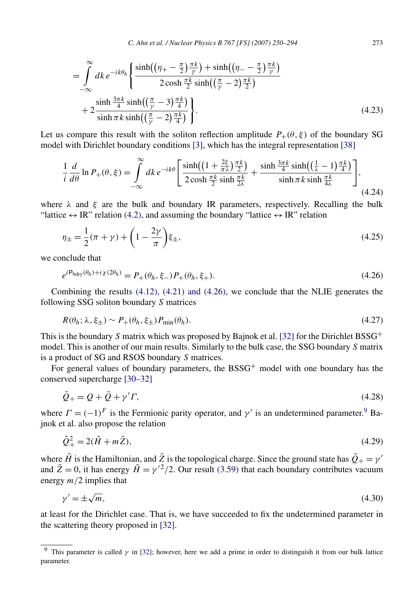*C. Ahn et al. / Nuclear Physics B 767 [FS] (2007) 250–294* 273

<span id="page-23-0"></span>
$$
= \int_{-\infty}^{\infty} dk \, e^{-ik\theta_h} \left\{ \frac{\sinh\left(\left(\eta_+ - \frac{\pi}{2}\right)\frac{\pi k}{\gamma}\right) + \sinh\left(\left(\eta_- - \frac{\pi}{2}\right)\frac{\pi k}{\gamma}\right)}{2\cosh\frac{\pi k}{2}\sinh\left(\left(\frac{\pi}{\gamma} - 2\right)\frac{\pi k}{2}\right)} + 2\frac{\sinh\frac{3\pi k}{4}\sinh\left(\left(\frac{\pi}{\gamma} - 3\right)\frac{\pi k}{4}\right)}{\sinh\pi k \sinh\left(\left(\frac{\pi}{\gamma} - 2\right)\frac{\pi k}{4}\right)} \right\}.
$$
\n(4.23)

Let us compare this result with the soliton reflection amplitude  $P_+(\theta, \xi)$  of the boundary SG model with Dirichlet boundary conditions [\[3\],](#page-42-0) which has the integral representation [\[38\]](#page-44-0)

$$
\frac{1}{i}\frac{d}{d\theta}\ln P_{+}(\theta,\xi) = \int_{-\infty}^{\infty} dk \, e^{-ik\theta} \left[ \frac{\sinh((1+\frac{2\xi}{\pi\lambda})\frac{\pi k}{2})}{2\cosh\frac{\pi k}{2}\sinh\frac{\pi k}{2\lambda}} + \frac{\sinh\frac{3\pi k}{4}\sinh((\frac{1}{\lambda}-1)\frac{\pi k}{4})}{\sinh\pi k\sinh\frac{\pi k}{4\lambda}} \right],
$$
\n(4.24)

where  $\lambda$  and  $\xi$  are the bulk and boundary IR parameters, respectively. Recalling the bulk "lattice  $\leftrightarrow$  IR" relation [\(4.2\),](#page-20-0) and assuming the boundary "lattice  $\leftrightarrow$  IR" relation

$$
\eta_{\pm} = \frac{1}{2}(\pi + \gamma) + \left(1 - \frac{2\gamma}{\pi}\right)\xi_{\pm},\tag{4.25}
$$

we conclude that

$$
e^{iP_{\text{bdry}}(\theta_h) + i \chi(2\theta_h)} = P_+(\theta_h, \xi_-) P_+(\theta_h, \xi_+).
$$
\n(4.26)

Combining the results  $(4.12)$ ,  $(4.21)$  and  $(4.26)$ , we conclude that the NLIE generates the following SSG soliton boundary *S* matrices

$$
R(\theta_h; \lambda, \xi_{\pm}) \sim P_+(\theta_h, \xi_{\pm}) P_{\min}(\theta_h). \tag{4.27}
$$

This is the boundary *S* matrix which was proposed by Bajnok et al. [\[32\]](#page-44-0) for the Dirichlet BSSG<sup>+</sup> model. This is another of our main results. Similarly to the bulk case, the SSG boundary *S* matrix is a product of SG and RSOS boundary *S* matrices.

For general values of boundary parameters, the BSSG<sup>+</sup> model with one boundary has the conserved supercharge [\[30–32\]](#page-43-0)

$$
\tilde{Q}_{+} = Q + \bar{Q} + \gamma' \Gamma, \tag{4.28}
$$

where  $\Gamma = (-1)^F$  is the Fermionic parity operator, and  $\gamma'$  is an undetermined parameter.<sup>9</sup> Bajnok et al. also propose the relation

$$
\tilde{Q}^2_+ = 2(\tilde{H} + m\tilde{Z}),\tag{4.29}
$$

where  $\tilde{H}$  is the Hamiltonian, and  $\tilde{Z}$  is the topological charge. Since the ground state has  $\tilde{Q}_+ = \gamma'$ and  $\tilde{Z} = 0$ , it has energy  $\tilde{H} = \gamma'^2/2$ . Our result [\(3.59\)](#page-20-0) that each boundary contributes vacuum energy *m/*2 implies that

$$
\gamma' = \pm \sqrt{m},\tag{4.30}
$$

at least for the Dirichlet case. That is, we have succeeded to fix the undetermined parameter in the scattering theory proposed in [\[32\].](#page-44-0)

<sup>9</sup> This parameter is called *γ* in [\[32\];](#page-44-0) however, here we add a prime in order to distinguish it from our bulk lattice parameter.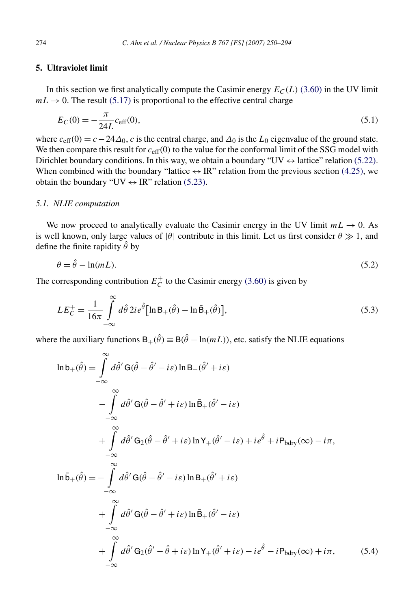# <span id="page-24-0"></span>**5. Ultraviolet limit**

In this section we first analytically compute the Casimir energy  $E_C(L)$  [\(3.60\)](#page-20-0) in the UV limit  $mL \rightarrow 0$ . The result [\(5.17\)](#page-26-0) is proportional to the effective central charge

$$
E_C(0) = -\frac{\pi}{24L} c_{\text{eff}}(0),\tag{5.1}
$$

where  $c_{\text{eff}}(0) = c - 24\Delta_0$ , *c* is the central charge, and  $\Delta_0$  is the *L*<sub>0</sub> eigenvalue of the ground state. We then compare this result for  $c_{\text{eff}}(0)$  to the value for the conformal limit of the SSG model with Dirichlet boundary conditions. In this way, we obtain a boundary "UV  $\leftrightarrow$  lattice" relation [\(5.22\).](#page-27-0) When combined with the boundary "lattice  $\leftrightarrow$  IR" relation from the previous section [\(4.25\),](#page-23-0) we obtain the boundary "UV  $\leftrightarrow$  IR" relation [\(5.23\).](#page-27-0)

#### *5.1. NLIE computation*

We now proceed to analytically evaluate the Casimir energy in the UV limit  $mL \rightarrow 0$ . As is well known, only large values of  $|\theta|$  contribute in this limit. Let us first consider  $\theta \gg 1$ , and define the finite rapidity  $\hat{\theta}$  by

$$
\theta = \hat{\theta} - \ln(mL). \tag{5.2}
$$

The corresponding contribution  $E_C^+$  to the Casimir energy [\(3.60\)](#page-20-0) is given by

$$
LE_C^+ = \frac{1}{16\pi} \int_{-\infty}^{\infty} d\hat{\theta} \, 2i e^{\hat{\theta}} \left[ \ln \mathbf{B}_+(\hat{\theta}) - \ln \bar{\mathbf{B}}_+(\hat{\theta}) \right],\tag{5.3}
$$

where the auxiliary functions  $B_+(\hat{\theta}) \equiv B(\hat{\theta} - \ln(mL))$ , etc. satisfy the NLIE equations

$$
\ln b_{+}(\hat{\theta}) = \int_{-\infty}^{\infty} d\hat{\theta}' G(\hat{\theta} - \hat{\theta}' - i\varepsilon) \ln B_{+}(\hat{\theta}' + i\varepsilon)
$$
  
\n
$$
- \int_{-\infty}^{\infty} d\hat{\theta}' G(\hat{\theta} - \hat{\theta}' + i\varepsilon) \ln \bar{B}_{+}(\hat{\theta}' - i\varepsilon)
$$
  
\n
$$
+ \int_{-\infty}^{\infty} d\hat{\theta}' G_{2}(\hat{\theta} - \hat{\theta}' + i\varepsilon) \ln Y_{+}(\hat{\theta}' - i\varepsilon) + i\varepsilon \hat{\theta} + iP_{bdry}(\infty) - i\pi,
$$
  
\n
$$
\ln \bar{b}_{+}(\hat{\theta}) = - \int_{-\infty}^{\infty} d\hat{\theta}' G(\hat{\theta} - \hat{\theta}' - i\varepsilon) \ln B_{+}(\hat{\theta}' + i\varepsilon)
$$
  
\n
$$
+ \int_{-\infty}^{\infty} d\hat{\theta}' G(\hat{\theta} - \hat{\theta}' + i\varepsilon) \ln \bar{B}_{+}(\hat{\theta}' - i\varepsilon)
$$
  
\n
$$
+ \int_{-\infty}^{\infty} d\hat{\theta}' G_{2}(\hat{\theta}' - \hat{\theta} + i\varepsilon) \ln Y_{+}(\hat{\theta}' + i\varepsilon) - i\varepsilon \hat{\theta} - iP_{bdry}(\infty) + i\pi,
$$
 (5.4)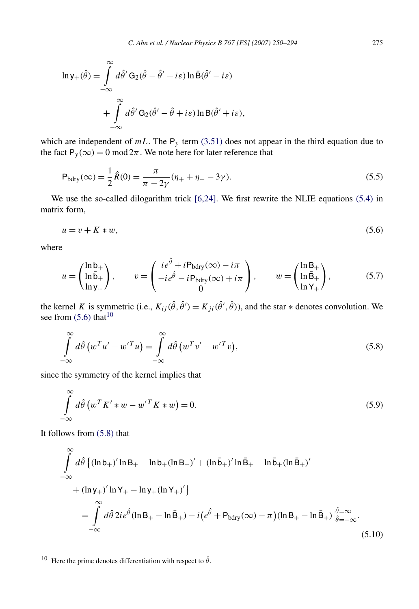<span id="page-25-0"></span>
$$
\ln y_{+}(\hat{\theta}) = \int_{-\infty}^{\infty} d\hat{\theta}' \mathbf{G}_{2}(\hat{\theta} - \hat{\theta}' + i\varepsilon) \ln \bar{\mathbf{B}}(\hat{\theta}' - i\varepsilon)
$$

$$
+ \int_{-\infty}^{\infty} d\hat{\theta}' \mathbf{G}_{2}(\hat{\theta}' - \hat{\theta} + i\varepsilon) \ln \mathbf{B}(\hat{\theta}' + i\varepsilon),
$$

which are independent of  $mL$ . The  $P<sub>y</sub>$  term [\(3.51\)](#page-18-0) does not appear in the third equation due to the fact  $P_y(\infty) = 0 \mod 2\pi$ . We note here for later reference that

$$
P_{\text{bdry}}(\infty) = \frac{1}{2}\hat{R}(0) = \frac{\pi}{\pi - 2\gamma}(\eta + \eta - 3\gamma).
$$
\n(5.5)

We use the so-called dilogarithm trick [\[6,24\].](#page-42-0) We first rewrite the NLIE equations [\(5.4\)](#page-24-0) in matrix form,

$$
u = v + K * w,\tag{5.6}
$$

where

$$
u = \begin{pmatrix} \ln b_+ \\ \ln \bar{b}_+ \\ \ln y_+ \end{pmatrix}, \qquad v = \begin{pmatrix} ie^{\hat{\theta}} + iP_{bdry}(\infty) - i\pi \\ -ie^{\hat{\theta}} - iP_{bdry}(\infty) + i\pi \\ 0 \end{pmatrix}, \qquad w = \begin{pmatrix} \ln B_+ \\ \ln \bar{B}_+ \\ \ln Y_+ \end{pmatrix}, \tag{5.7}
$$

the kernel *K* is symmetric (i.e.,  $K_{ij}(\hat{\theta}, \hat{\theta}') = K_{ji}(\hat{\theta}', \hat{\theta})$ ), and the star  $*$  denotes convolution. We see from  $(5.6)$  that<sup>10</sup>

$$
\int_{-\infty}^{\infty} d\hat{\theta} \left( w^T u' - w'^T u \right) = \int_{-\infty}^{\infty} d\hat{\theta} \left( w^T v' - w'^T v \right),\tag{5.8}
$$

since the symmetry of the kernel implies that

$$
\int_{-\infty}^{\infty} d\hat{\theta} \left( w^T K' * w - w'^T K * w \right) = 0.
$$
\n(5.9)

It follows from (5.8) that

$$
\int_{-\infty}^{\infty} d\hat{\theta} \left\{ (\ln b_{+})' \ln B_{+} - \ln b_{+} (\ln B_{+})' + (\ln \bar{b}_{+})' \ln \bar{B}_{+} - \ln \bar{b}_{+} (\ln \bar{B}_{+})' \right\} \n+ (\ln y_{+})' \ln Y_{+} - \ln y_{+} (\ln Y_{+})' \right\} \n= \int_{-\infty}^{\infty} d\hat{\theta} 2i e^{\hat{\theta}} (\ln B_{+} - \ln \bar{B}_{+}) - i (e^{\hat{\theta}} + P_{bdry}(\infty) - \pi) (\ln B_{+} - \ln \bar{B}_{+}) \Big|_{\hat{\theta} = -\infty}^{\hat{\theta} = \infty}.
$$
\n(5.10)

<sup>10</sup> Here the prime denotes differentiation with respect to  $\hat{\theta}$ .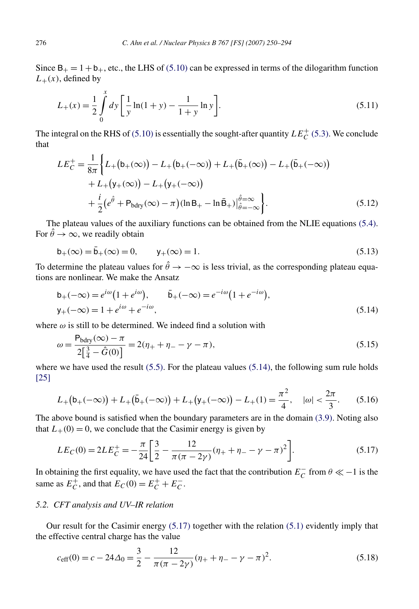<span id="page-26-0"></span>Since  $B_+ = 1 + b_+$ , etc., the LHS of [\(5.10\)](#page-25-0) can be expressed in terms of the dilogarithm function  $L_{+}(x)$ , defined by

$$
L_{+}(x) = \frac{1}{2} \int_{0}^{x} dy \left[ \frac{1}{y} \ln(1+y) - \frac{1}{1+y} \ln y \right].
$$
 (5.11)

The integral on the RHS of [\(5.10\)](#page-25-0) is essentially the sought-after quantity  $LE_C^+$  [\(5.3\).](#page-24-0) We conclude that

$$
LE_C^+ = \frac{1}{8\pi} \Biggl\{ L_+ (b_+ (\infty)) - L_+ (b_+ (-\infty)) + L_+ (\bar{b}_+ (\infty)) - L_+ (\bar{b}_+ (-\infty))
$$
  
+  $L_+ (y_+ (\infty)) - L_+ (y_+ (-\infty))$   
+  $\frac{i}{2} (e^{\hat{\theta}} + P_{bdry} (\infty) - \pi) (\ln B_+ - \ln \bar{B}_+) \Big|_{\hat{\theta} = -\infty}^{\hat{\theta} = \infty} \Biggr\}.$  (5.12)

The plateau values of the auxiliary functions can be obtained from the NLIE equations [\(5.4\).](#page-24-0) For  $\hat{\theta} \rightarrow \infty$ , we readily obtain

$$
b_{+}(\infty) = \bar{b}_{+}(\infty) = 0, \qquad y_{+}(\infty) = 1.
$$
\n(5.13)

To determine the plateau values for  $\hat{\theta} \rightarrow -\infty$  is less trivial, as the corresponding plateau equations are nonlinear. We make the Ansatz

$$
b_{+}(-\infty) = e^{i\omega} (1 + e^{i\omega}), \qquad \bar{b}_{+}(-\infty) = e^{-i\omega} (1 + e^{-i\omega}),
$$
  
\n
$$
y_{+}(-\infty) = 1 + e^{i\omega} + e^{-i\omega},
$$
\n(5.14)

where  $\omega$  is still to be determined. We indeed find a solution with

$$
\omega = \frac{P_{bdry}(\infty) - \pi}{2\left[\frac{3}{4} - \hat{G}(0)\right]} = 2(\eta_+ + \eta_- - \gamma - \pi),\tag{5.15}
$$

where we have used the result  $(5.5)$ . For the plateau values  $(5.14)$ , the following sum rule holds [\[25\]](#page-43-0)

$$
L_{+}(b_{+}(-\infty)) + L_{+}(\bar{b}_{+}(-\infty)) + L_{+}(y_{+}(-\infty)) - L_{+}(1) = \frac{\pi^{2}}{4}, \quad |\omega| < \frac{2\pi}{3}.
$$
 (5.16)

The above bound is satisfied when the boundary parameters are in the domain [\(3.9\).](#page-13-0) Noting also that  $L_{+}(0) = 0$ , we conclude that the Casimir energy is given by

$$
LE_C(0) = 2LE_C^+ = -\frac{\pi}{24} \left[ \frac{3}{2} - \frac{12}{\pi(\pi - 2\gamma)} (\eta_+ + \eta_- - \gamma_- - \pi)^2 \right].
$$
 (5.17)

In obtaining the first equality, we have used the fact that the contribution  $E_C^{\text{-}}$  from  $\theta \ll -1$  is the same as  $E_C^+$ , and that  $E_C(0) = E_C^+ + E_C^-$ .

#### *5.2. CFT analysis and UV–IR relation*

Our result for the Casimir energy (5.17) together with the relation [\(5.1\)](#page-24-0) evidently imply that the effective central charge has the value

$$
c_{\text{eff}}(0) = c - 24\Delta_0 = \frac{3}{2} - \frac{12}{\pi(\pi - 2\gamma)}(\eta_+ + \eta_- - \gamma - \pi)^2.
$$
 (5.18)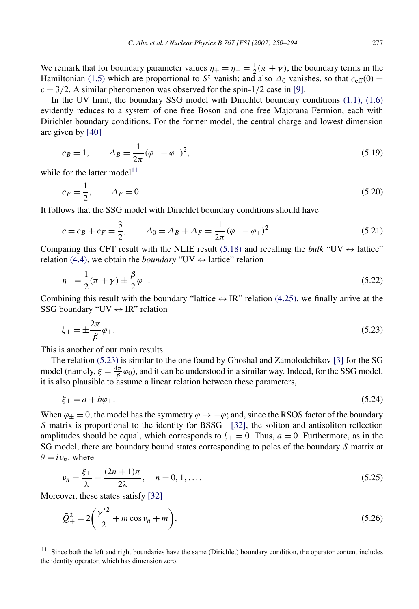<span id="page-27-0"></span>We remark that for boundary parameter values  $\eta_{+} = \eta_{-} = \frac{1}{2}(\pi + \gamma)$ , the boundary terms in the Hamiltonian [\(1.5\)](#page-2-0) which are proportional to  $S^z$  vanish; and also  $\Delta_0$  vanishes, so that  $c_{\text{eff}}(0)$  =  $c = 3/2$ . A similar phenomenon was observed for the spin-1/2 case in [\[9\].](#page-42-0)

In the UV limit, the boundary SSG model with Dirichlet boundary conditions [\(1.1\), \(1.6\)](#page-1-0) evidently reduces to a system of one free Boson and one free Majorana Fermion, each with Dirichlet boundary conditions. For the former model, the central charge and lowest dimension are given by [\[40\]](#page-44-0)

$$
c_B = 1,
$$
  $\Delta_B = \frac{1}{2\pi} (\varphi_- - \varphi_+)^2,$  (5.19)

while for the latter model<sup>11</sup>

$$
c_F = \frac{1}{2}, \qquad \Delta_F = 0. \tag{5.20}
$$

It follows that the SSG model with Dirichlet boundary conditions should have

$$
c = c_B + c_F = \frac{3}{2}, \qquad \Delta_0 = \Delta_B + \Delta_F = \frac{1}{2\pi} (\varphi_- - \varphi_+)^2.
$$
 (5.21)

Comparing this CFT result with the NLIE result [\(5.18\)](#page-26-0) and recalling the *bulk* "UV  $\leftrightarrow$  lattice" relation [\(4.4\),](#page-20-0) we obtain the *boundary* "UV  $\leftrightarrow$  lattice" relation

$$
\eta_{\pm} = \frac{1}{2}(\pi + \gamma) \pm \frac{\beta}{2}\varphi_{\pm}.
$$
\n(5.22)

Combining this result with the boundary "lattice  $\leftrightarrow$  IR" relation [\(4.25\),](#page-23-0) we finally arrive at the SSG boundary "UV  $\leftrightarrow$  IR" relation

$$
\xi_{\pm} = \pm \frac{2\pi}{\beta} \varphi_{\pm}.\tag{5.23}
$$

This is another of our main results.

The relation (5.23) is similar to the one found by Ghoshal and Zamolodchikov [\[3\]](#page-42-0) for the SG model (namely,  $\xi = \frac{4\pi}{\beta} \varphi_0$ ), and it can be understood in a similar way. Indeed, for the SSG model, it is also plausible to assume a linear relation between these parameters,

$$
\xi_{\pm} = a + b\varphi_{\pm}.\tag{5.24}
$$

When  $\varphi_+ = 0$ , the model has the symmetry  $\varphi \mapsto -\varphi$ ; and, since the RSOS factor of the boundary *S* matrix is proportional to the identity for  $BSSG^+$  [\[32\],](#page-44-0) the soliton and antisoliton reflection amplitudes should be equal, which corresponds to  $\xi_{\pm} = 0$ . Thus,  $a = 0$ . Furthermore, as in the SG model, there are boundary bound states corresponding to poles of the boundary *S* matrix at  $\theta = i v_n$ , where

$$
\nu_n = \frac{\xi_{\pm}}{\lambda} - \frac{(2n+1)\pi}{2\lambda}, \quad n = 0, 1, ....
$$
\n(5.25)

Moreover, these states satisfy [\[32\]](#page-44-0)

$$
\tilde{Q}_{+}^{2} = 2\left(\frac{\gamma'^{2}}{2} + m\cos\nu_{n} + m\right),
$$
\n(5.26)

<sup>&</sup>lt;sup>11</sup> Since both the left and right boundaries have the same (Dirichlet) boundary condition, the operator content includes the identity operator, which has dimension zero.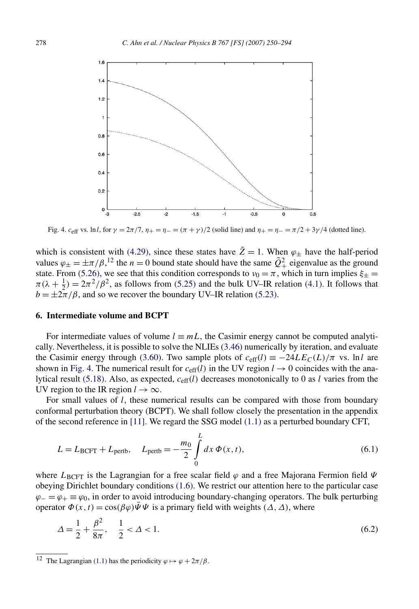<span id="page-28-0"></span>

Fig. 4. *c*<sub>eff</sub> vs. ln*l*, for *γ* =  $2π/7$ ,  $η$ <sub>+</sub> =  $η$ <sub>−</sub> =  $(π + γ)/2$  (solid line) and  $η$ <sub>+</sub> =  $η$ <sub>−</sub> =  $π/2 + 3γ/4$  (dotted line).

which is consistent with [\(4.29\),](#page-23-0) since these states have  $\tilde{Z} = 1$ . When  $\varphi_{+}$  have the half-period values  $\varphi_{\pm} = \pm \pi/\beta$ ,<sup>12</sup> the *n* = 0 bound state should have the same  $\tilde{Q}^2_+$  eigenvalue as the ground state. From [\(5.26\),](#page-27-0) we see that this condition corresponds to  $v_0 = \pi$ , which in turn implies  $\xi_{\pm} =$  $\pi(\lambda + \frac{1}{2}) = 2\pi^2/\beta^2$ , as follows from [\(5.25\)](#page-27-0) and the bulk UV–IR relation [\(4.1\).](#page-20-0) It follows that  $b = \pm 2\pi/\beta$ , and so we recover the boundary UV–IR relation [\(5.23\).](#page-27-0)

#### **6. Intermediate volume and BCPT**

For intermediate values of volume  $l \equiv mL$ , the Casimir energy cannot be computed analytically. Nevertheless, it is possible to solve the NLIEs [\(3.46\)](#page-18-0) numerically by iteration, and evaluate the Casimir energy through [\(3.60\).](#page-20-0) Two sample plots of  $c_{\text{eff}}(l) \equiv -24LE_C(L)/\pi$  vs. lnl are shown in Fig. 4. The numerical result for  $c_{\text{eff}}(l)$  in the UV region  $l \rightarrow 0$  coincides with the analytical result [\(5.18\).](#page-26-0) Also, as expected, *c*eff*(l)* decreases monotonically to 0 as *l* varies from the UV region to the IR region  $l \to \infty$ .

For small values of *l*, these numerical results can be compared with those from boundary conformal perturbation theory (BCPT). We shall follow closely the presentation in the appendix of the second reference in [\[11\].](#page-42-0) We regard the SSG model [\(1.1\)](#page-1-0) as a perturbed boundary CFT,

$$
L = L_{\text{BCFT}} + L_{\text{pertb}}, \quad L_{\text{pertb}} = -\frac{m_0}{2} \int_0^L dx \, \Phi(x, t), \tag{6.1}
$$

where  $L_{\text{BCFT}}$  is the Lagrangian for a free scalar field  $\varphi$  and a free Majorana Fermion field  $\Psi$ obeying Dirichlet boundary conditions [\(1.6\).](#page-2-0) We restrict our attention here to the particular case  $\varphi = \varphi_+ \equiv \varphi_0$ , in order to avoid introducing boundary-changing operators. The bulk perturbing operator  $\Phi(x, t) = \cos(\beta \varphi) \overline{\Psi} \Psi$  is a primary field with weights  $(\Delta, \Delta)$ , where

$$
\Delta = \frac{1}{2} + \frac{\beta^2}{8\pi}, \quad \frac{1}{2} < \Delta < 1.
$$
\n(6.2)

<sup>&</sup>lt;sup>12</sup> The Lagrangian [\(1.1\)](#page-1-0) has the periodicity  $\varphi \mapsto \varphi + 2\pi/\beta$ .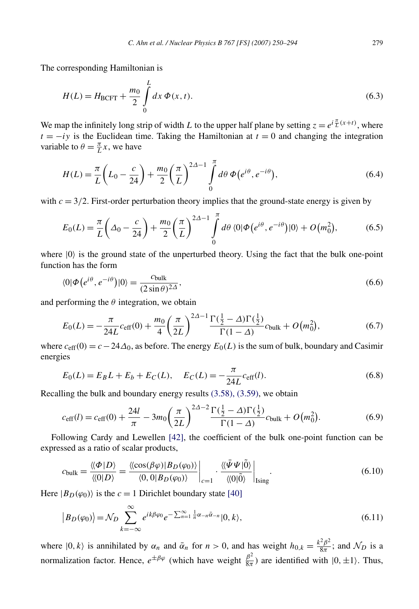<span id="page-29-0"></span>The corresponding Hamiltonian is

$$
H(L) = H_{\text{BCFT}} + \frac{m_0}{2} \int_0^L dx \, \Phi(x, t).
$$
 (6.3)

We map the infinitely long strip of width *L* to the upper half plane by setting  $z = e^{i\frac{\pi}{L}(x+t)}$ , where  $t = -iy$  is the Euclidean time. Taking the Hamiltonian at  $t = 0$  and changing the integration variable to  $\theta = \frac{\pi}{L}x$ , we have

$$
H(L) = \frac{\pi}{L} \left( L_0 - \frac{c}{24} \right) + \frac{m_0}{2} \left( \frac{\pi}{L} \right)^{2\Delta - 1} \int_0^{\pi} d\theta \, \Phi(e^{i\theta}, e^{-i\theta}), \tag{6.4}
$$

with  $c = 3/2$ . First-order perturbation theory implies that the ground-state energy is given by

$$
E_0(L) = \frac{\pi}{L} \left( \Delta_0 - \frac{c}{24} \right) + \frac{m_0}{2} \left( \frac{\pi}{L} \right)^{2\Delta - 1} \int_0^{\pi} d\theta \, \langle 0 | \Phi(e^{i\theta}, e^{-i\theta}) | 0 \rangle + O(m_0^2), \tag{6.5}
$$

where  $|0\rangle$  is the ground state of the unperturbed theory. Using the fact that the bulk one-point function has the form

$$
\langle 0|\Phi\left(e^{i\theta}, e^{-i\theta}\right)|0\rangle = \frac{c_{\text{bulk}}}{(2\sin\theta)^{2\Delta}},\tag{6.6}
$$

and performing the  $\theta$  integration, we obtain

$$
E_0(L) = -\frac{\pi}{24L} c_{\text{eff}}(0) + \frac{m_0}{4} \left(\frac{\pi}{2L}\right)^{2\Delta - 1} \frac{\Gamma(\frac{1}{2} - \Delta)\Gamma(\frac{1}{2})}{\Gamma(1 - \Delta)} c_{\text{bulk}} + O(m_0^2),\tag{6.7}
$$

where  $c_{\text{eff}}(0) = c - 24\Delta_0$ , as before. The energy  $E_0(L)$  is the sum of bulk, boundary and Casimir energies

$$
E_0(L) = E_B L + E_b + E_C(L), \quad E_C(L) = -\frac{\pi}{24L} c_{\text{eff}}(l). \tag{6.8}
$$

Recalling the bulk and boundary energy results [\(3.58\), \(3.59\),](#page-19-0) we obtain

$$
c_{\text{eff}}(l) = c_{\text{eff}}(0) + \frac{24l}{\pi} - 3m_0 \left(\frac{\pi}{2L}\right)^{2\Delta - 2} \frac{\Gamma(\frac{1}{2} - \Delta)\Gamma(\frac{1}{2})}{\Gamma(1 - \Delta)} c_{\text{bulk}} + O(m_0^2). \tag{6.9}
$$

Following Cardy and Lewellen [\[42\],](#page-44-0) the coefficient of the bulk one-point function can be expressed as a ratio of scalar products,

$$
c_{\text{bulk}} = \frac{\langle \langle \Phi | D \rangle}{\langle \langle 0 | D \rangle} = \frac{\langle \langle \cos(\beta \varphi) | B_D(\varphi_0) \rangle}{\langle 0, 0 | B_D(\varphi_0) \rangle} \bigg|_{c=1} \cdot \frac{\langle \langle \bar{\Psi} \Psi | \tilde{0} \rangle}{\langle \langle 0 | \tilde{0} \rangle} \bigg|_{\text{Ising}}.
$$
(6.10)

Here  $|B_D(\varphi_0)\rangle$  is the  $c = 1$  Dirichlet boundary state [\[40\]](#page-44-0)

$$
|B_D(\varphi_0)| = \mathcal{N}_D \sum_{k=-\infty}^{\infty} e^{ik\beta\varphi_0} e^{-\sum_{n=1}^{\infty} \frac{1}{n} \alpha_{-n} \bar{\alpha}_{-n}} |0, k\rangle,
$$
\n(6.11)

where  $|0, k\rangle$  is annihilated by  $\alpha_n$  and  $\bar{\alpha}_n$  for  $n > 0$ , and has weight  $h_{0,k} = \frac{k^2 \beta^2}{8\pi}$ ; and  $\mathcal{N}_D$  is a normalization factor. Hence,  $e^{\pm \beta \varphi}$  (which have weight  $\frac{\beta^2}{8\pi}$ ) are identified with  $|0, \pm 1\rangle$ . Thus,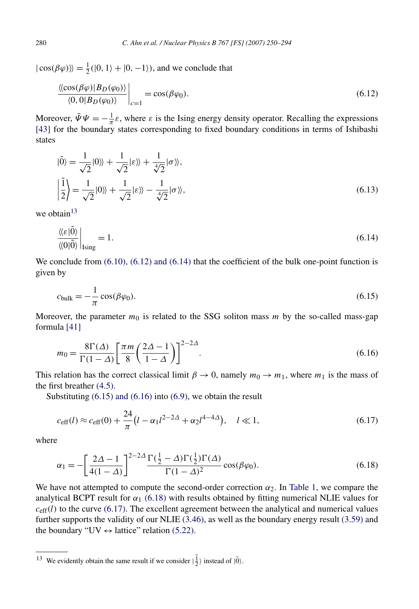<span id="page-30-0"></span> $|\cos(\beta\varphi)\rangle = \frac{1}{2}(|0, 1\rangle + |0, -1\rangle)$ , and we conclude that

$$
\left. \frac{\langle \langle \cos(\beta \varphi) | B_D(\varphi_0) \rangle}{\langle 0, 0 | B_D(\varphi_0) \rangle} \right|_{c=1} = \cos(\beta \varphi_0). \tag{6.12}
$$

Moreover,  $\bar{\Psi}\Psi = -\frac{1}{\pi}\varepsilon$ , where  $\varepsilon$  is the Ising energy density operator. Recalling the expressions [\[43\]](#page-44-0) for the boundary states corresponding to fixed boundary conditions in terms of Ishibashi states

$$
|\tilde{0}\rangle = \frac{1}{\sqrt{2}}|0\rangle\rangle + \frac{1}{\sqrt{2}}|\varepsilon\rangle\rangle + \frac{1}{\sqrt{2}}|\sigma\rangle\rangle,
$$
  

$$
\left|\frac{\tilde{1}}{2}\right\rangle = \frac{1}{\sqrt{2}}|0\rangle\rangle + \frac{1}{\sqrt{2}}|\varepsilon\rangle\rangle - \frac{1}{\sqrt{2}}|\sigma\rangle\rangle,
$$
(6.13)

we obtain<sup>13</sup>

$$
\frac{\langle \langle \varepsilon | \tilde{0} \rangle}{\langle \langle 0 | \tilde{0} \rangle} \Big|_{\text{Ising}} = 1. \tag{6.14}
$$

We conclude from  $(6.10)$ ,  $(6.12)$  and  $(6.14)$  that the coefficient of the bulk one-point function is given by

$$
c_{\text{bulk}} = -\frac{1}{\pi} \cos(\beta \varphi_0). \tag{6.15}
$$

Moreover, the parameter  $m_0$  is related to the SSG soliton mass  $m$  by the so-called mass-gap formula [\[41\]](#page-44-0)

$$
m_0 = \frac{8\Gamma(\Delta)}{\Gamma(1-\Delta)} \left[ \frac{\pi m}{8} \left( \frac{2\Delta - 1}{1-\Delta} \right) \right]^{2-2\Delta}.
$$
 (6.16)

This relation has the correct classical limit  $\beta \to 0$ , namely  $m_0 \to m_1$ , where  $m_1$  is the mass of the first breather [\(4.5\).](#page-20-0)

Substituting (6.15) and (6.16) into [\(6.9\),](#page-29-0) we obtain the result

$$
c_{\text{eff}}(l) \approx c_{\text{eff}}(0) + \frac{24}{\pi} \left( l - \alpha_1 l^{2 - 2\Delta} + \alpha_2 l^{4 - 4\Delta} \right), \quad l \ll 1,
$$
\n(6.17)

where

$$
\alpha_1 = -\left[\frac{2\Delta - 1}{4(1-\Delta)}\right]^{2-2\Delta} \frac{\Gamma(\frac{1}{2} - \Delta)\Gamma(\frac{1}{2})\Gamma(\Delta)}{\Gamma(1-\Delta)^2} \cos(\beta \varphi_0). \tag{6.18}
$$

We have not attempted to compute the second-order correction  $\alpha_2$ . In [Table 1,](#page-31-0) we compare the analytical BCPT result for  $\alpha_1$  (6.18) with results obtained by fitting numerical NLIE values for  $c_{\text{eff}}(l)$  to the curve (6.17). The excellent agreement between the analytical and numerical values further supports the validity of our NLIE [\(3.46\),](#page-18-0) as well as the boundary energy result [\(3.59\)](#page-20-0) and the boundary "UV  $\leftrightarrow$  lattice" relation [\(5.22\).](#page-27-0)

<sup>&</sup>lt;sup>13</sup> We evidently obtain the same result if we consider  $|\frac{1}{2}\rangle$  instead of  $|\tilde{0}\rangle$ .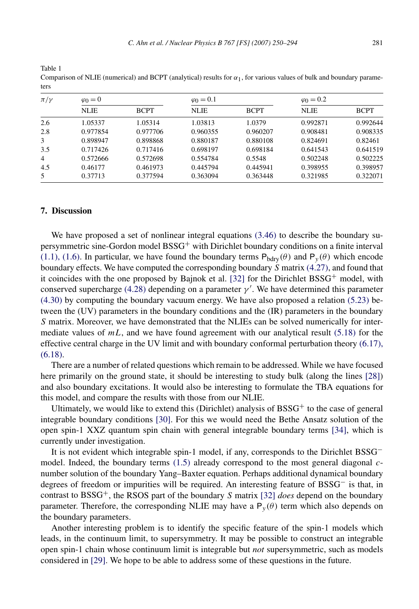| $\pi/\gamma$   | $\varphi_0 = 0$ |             | $\varphi_0 = 0.1$ |             | $\varphi_0 = 0.2$ |             |
|----------------|-----------------|-------------|-------------------|-------------|-------------------|-------------|
|                | <b>NLIE</b>     | <b>BCPT</b> | <b>NLIE</b>       | <b>BCPT</b> | <b>NLIE</b>       | <b>BCPT</b> |
| 2.6            | 1.05337         | 1.05314     | 1.03813           | 1.0379      | 0.992871          | 0.992644    |
| 2.8            | 0.977854        | 0.977706    | 0.960355          | 0.960207    | 0.908481          | 0.908335    |
| 3              | 0.898947        | 0.898868    | 0.880187          | 0.880108    | 0.824691          | 0.82461     |
| 3.5            | 0.717426        | 0.717416    | 0.698197          | 0.698184    | 0.641543          | 0.641519    |
| $\overline{4}$ | 0.572666        | 0.572698    | 0.554784          | 0.5548      | 0.502248          | 0.502225    |
| 4.5            | 0.46177         | 0.461973    | 0.445794          | 0.445941    | 0.398955          | 0.398957    |

5 0*.*37713 0*.*377594 0*.*363094 0*.*363448 0*.*321985 0*.*322071

<span id="page-31-0"></span>Table 1 Comparison of NLIE (numerical) and BCPT (analytical) results for  $\alpha_1$ , for various values of bulk and boundary parameters

#### **7. Discussion**

We have proposed a set of nonlinear integral equations [\(3.46\)](#page-18-0) to describe the boundary supersymmetric sine-Gordon model BSSG<sup>+</sup> with Dirichlet boundary conditions on a finite interval [\(1.1\), \(1.6\).](#page-1-0) In particular, we have found the boundary terms  $P_{bdry}(\theta)$  and  $P_y(\theta)$  which encode boundary effects. We have computed the corresponding boundary *S* matrix [\(4.27\),](#page-23-0) and found that it coincides with the one proposed by Bajnok et al. [\[32\]](#page-44-0) for the Dirichlet BSSG<sup>+</sup> model, with conserved supercharge [\(4.28\)](#page-23-0) depending on a parameter  $\gamma'$ . We have determined this parameter [\(4.30\)](#page-23-0) by computing the boundary vacuum energy. We have also proposed a relation [\(5.23\)](#page-27-0) between the (UV) parameters in the boundary conditions and the (IR) parameters in the boundary *S* matrix. Moreover, we have demonstrated that the NLIEs can be solved numerically for intermediate values of *mL*, and we have found agreement with our analytical result [\(5.18\)](#page-26-0) for the effective central charge in the UV limit and with boundary conformal perturbation theory [\(6.17\),](#page-30-0) [\(6.18\).](#page-30-0)

There are a number of related questions which remain to be addressed. While we have focused here primarily on the ground state, it should be interesting to study bulk (along the lines [\[28\]\)](#page-43-0) and also boundary excitations. It would also be interesting to formulate the TBA equations for this model, and compare the results with those from our NLIE.

Ultimately, we would like to extend this (Dirichlet) analysis of  $BSSG<sup>+</sup>$  to the case of general integrable boundary conditions [\[30\].](#page-43-0) For this we would need the Bethe Ansatz solution of the open spin-1 XXZ quantum spin chain with general integrable boundary terms [\[34\],](#page-44-0) which is currently under investigation.

It is not evident which integrable spin-1 model, if any, corresponds to the Dirichlet BSSG<sup>−</sup> model. Indeed, the boundary terms [\(1.5\)](#page-2-0) already correspond to the most general diagonal *c*number solution of the boundary Yang–Baxter equation. Perhaps additional dynamical boundary degrees of freedom or impurities will be required. An interesting feature of BSSG<sup>−</sup> is that, in contrast to BSSG+, the RSOS part of the boundary *S* matrix [\[32\]](#page-44-0) *does* depend on the boundary parameter. Therefore, the corresponding NLIE may have a  $P_y(\theta)$  term which also depends on the boundary parameters.

Another interesting problem is to identify the specific feature of the spin-1 models which leads, in the continuum limit, to supersymmetry. It may be possible to construct an integrable open spin-1 chain whose continuum limit is integrable but *not* supersymmetric, such as models considered in [\[29\].](#page-43-0) We hope to be able to address some of these questions in the future.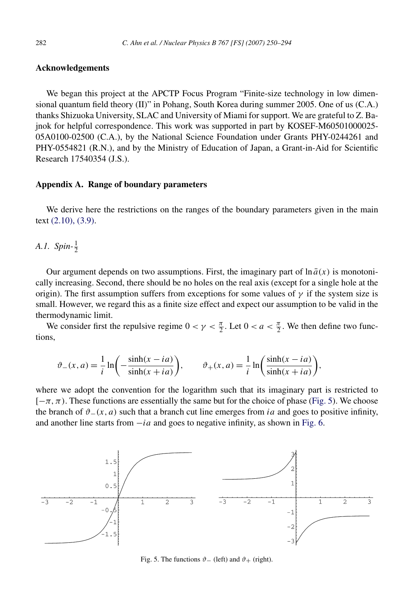# <span id="page-32-0"></span>**Acknowledgements**

We began this project at the APCTP Focus Program "Finite-size technology in low dimensional quantum field theory (II)" in Pohang, South Korea during summer 2005. One of us (C.A.) thanks Shizuoka University, SLAC and University of Miami for support. We are grateful to Z. Bajnok for helpful correspondence. This work was supported in part by KOSEF-M60501000025- 05A0100-02500 (C.A.), by the National Science Foundation under Grants PHY-0244261 and PHY-0554821 (R.N.), and by the Ministry of Education of Japan, a Grant-in-Aid for Scientific Research 17540354 (J.S.).

#### **Appendix A. Range of boundary parameters**

We derive here the restrictions on the ranges of the boundary parameters given in the main text [\(2.10\), \(3.9\).](#page-4-0)

*A.1.* Spin- $\frac{1}{2}$ 

Our argument depends on two assumptions. First, the imaginary part of  $\ln \bar{a}(x)$  is monotonically increasing. Second, there should be no holes on the real axis (except for a single hole at the origin). The first assumption suffers from exceptions for some values of  $\gamma$  if the system size is small. However, we regard this as a finite size effect and expect our assumption to be valid in the thermodynamic limit.

We consider first the repulsive regime  $0 < \gamma < \frac{\pi}{2}$ . Let  $0 < a < \frac{\pi}{2}$ . We then define two functions,

$$
\vartheta_{-}(x,a) = \frac{1}{i} \ln \left( -\frac{\sinh(x - ia)}{\sinh(x + ia)} \right), \qquad \vartheta_{+}(x,a) = \frac{1}{i} \ln \left( \frac{\sinh(x - ia)}{\sinh(x + ia)} \right),
$$

where we adopt the convention for the logarithm such that its imaginary part is restricted to  $[-\pi, \pi)$ . These functions are essentially the same but for the choice of phase (Fig. 5). We choose the branch of  $\vartheta$ <sub>−</sub>(x, a) such that a branch cut line emerges from *ia* and goes to positive infinity, and another line starts from −*ia* and goes to negative infinity, as shown in [Fig. 6.](#page-33-0)



Fig. 5. The functions  $\vartheta$  − (left) and  $\vartheta$  + (right).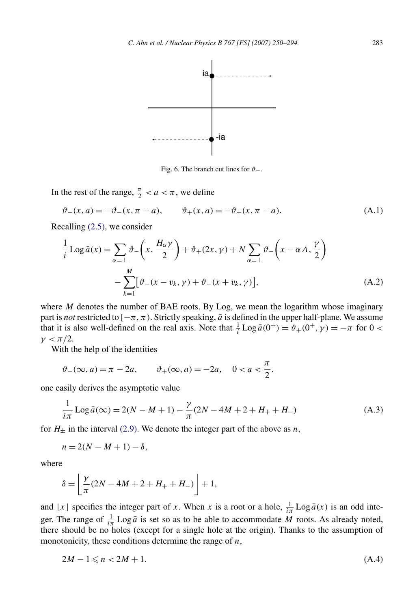<span id="page-33-0"></span>

Fig. 6. The branch cut lines for *ϑ*−.

In the rest of the range,  $\frac{\pi}{2} < a < \pi$ , we define

$$
\vartheta_{-}(x,a) = -\vartheta_{-}(x,\pi - a), \qquad \vartheta_{+}(x,a) = -\vartheta_{+}(x,\pi - a). \tag{A.1}
$$

Recalling [\(2.5\),](#page-4-0) we consider

$$
\frac{1}{i}\mathrm{Log}\,\bar{a}(x) = \sum_{\alpha=\pm} \vartheta_{-}\left(x, \frac{H_{\alpha}\gamma}{2}\right) + \vartheta_{+}(2x, \gamma) + N \sum_{\alpha=\pm} \vartheta_{-}\left(x - \alpha A, \frac{\gamma}{2}\right) \n- \sum_{k=1}^{M} \left[\vartheta_{-}(x - v_k, \gamma) + \vartheta_{-}(x + v_k, \gamma)\right],
$$
\n(A.2)

where *M* denotes the number of BAE roots. By Log, we mean the logarithm whose imaginary part is *not* restricted to  $[-\pi, \pi)$ . Strictly speaking,  $\bar{a}$  is defined in the upper half-plane. We assume that it is also well-defined on the real axis. Note that  $\frac{1}{i}$  Log  $\bar{a}(0^+) = \vartheta_+(0^+, \gamma) = -\pi$  for  $0 < \pi$  $γ < π/2$ .

With the help of the identities

$$
\vartheta_-(\infty, a) = \pi - 2a, \qquad \vartheta_+(\infty, a) = -2a, \quad 0 < a < \frac{\pi}{2},
$$

one easily derives the asymptotic value

$$
\frac{1}{i\pi} \operatorname{Log} \bar{a}(\infty) = 2(N - M + 1) - \frac{\gamma}{\pi} (2N - 4M + 2 + H_{+} + H_{-})
$$
\n(A.3)

for  $H_{\pm}$  in the interval [\(2.9\).](#page-4-0) We denote the integer part of the above as *n*,

$$
n = 2(N - M + 1) - \delta,
$$

where

$$
\delta = \left[ \frac{\gamma}{\pi} (2N - 4M + 2 + H_{+} + H_{-}) \right] + 1,
$$

and  $\lfloor x \rfloor$  specifies the integer part of *x*. When *x* is a root or a hole,  $\frac{1}{i\pi} \text{Log } \bar{a}(x)$  is an odd integer. The range of  $\frac{1}{i\pi}$  Log  $\bar{a}$  is set so as to be able to accommodate *M* roots. As already noted, there should be no holes (except for a single hole at the origin). Thanks to the assumption of monotonicity, these conditions determine the range of *n*,

$$
2M - 1 \leqslant n < 2M + 1. \tag{A.4}
$$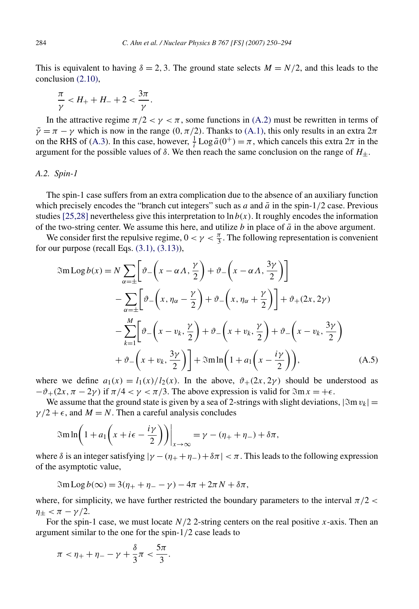<span id="page-34-0"></span>This is equivalent to having  $\delta = 2, 3$ . The ground state selects  $M = N/2$ , and this leads to the conclusion [\(2.10\),](#page-4-0)

$$
\frac{\pi}{\gamma} < H_+ + H_- + 2 < \frac{3\pi}{\gamma}.
$$

In the attractive regime  $\pi/2 < \gamma < \pi$ , some functions in [\(A.2\)](#page-33-0) must be rewritten in terms of  $\tilde{\gamma} = \pi - \gamma$  which is now in the range  $(0, \pi/2)$ . Thanks to [\(A.1\),](#page-33-0) this only results in an extra  $2\pi$ on the RHS of [\(A.3\)](#page-33-0). In this case, however,  $\frac{1}{i}$  Log  $\bar{a}(0^+) = \pi$ , which cancels this extra  $2\pi$  in the argument for the possible values of  $\delta$ . We then reach the same conclusion on the range of  $H_{+}$ .

#### *A.2. Spin-1*

The spin-1 case suffers from an extra complication due to the absence of an auxiliary function which precisely encodes the "branch cut integers" such as  $a$  and  $\bar{a}$  in the spin-1/2 case. Previous studies [\[25,28\]](#page-43-0) nevertheless give this interpretation to  $\ln b(x)$ . It roughly encodes the information of the two-string center. We assume this here, and utilize  $b$  in place of  $\bar{a}$  in the above argument.

We consider first the repulsive regime,  $0 < \gamma < \frac{\pi}{3}$ . The following representation is convenient for our purpose (recall Eqs.  $(3.1)$ ,  $(3.13)$ ),

$$
\mathfrak{Im} \operatorname{Log} b(x) = N \sum_{\alpha = \pm} \left[ \vartheta - \left( x - \alpha A, \frac{\gamma}{2} \right) + \vartheta - \left( x - \alpha A, \frac{3\gamma}{2} \right) \right]
$$
  
 
$$
- \sum_{\alpha = \pm} \left[ \vartheta - \left( x, \eta_{\alpha} - \frac{\gamma}{2} \right) + \vartheta - \left( x, \eta_{\alpha} + \frac{\gamma}{2} \right) \right] + \vartheta_{+} (2x, 2\gamma)
$$
  
 
$$
- \sum_{k=1}^{M} \left[ \vartheta - \left( x - v_k, \frac{\gamma}{2} \right) + \vartheta - \left( x + v_k, \frac{\gamma}{2} \right) + \vartheta - \left( x - v_k, \frac{3\gamma}{2} \right) \right]
$$
  
 
$$
+ \vartheta - \left( x + v_k, \frac{3\gamma}{2} \right) + \mathfrak{Im} \ln \left( 1 + a_1 \left( x - \frac{i\gamma}{2} \right) \right), \tag{A.5}
$$

where we define  $a_1(x) = l_1(x)/l_2(x)$ . In the above,  $\vartheta_+(2x, 2\gamma)$  should be understood as  $-\vartheta_+(2x,\pi-2\gamma)$  if  $\pi/4 < \gamma < \pi/3$ . The above expression is valid for  $\Im \text{m} x = +\epsilon$ .

We assume that the ground state is given by a sea of 2-strings with slight deviations,  $|\Im m v_k|$  =  $\gamma/2 + \epsilon$ , and  $M = N$ . Then a careful analysis concludes

$$
\mathfrak{Sm}\ln\bigg(1+a_1\bigg(x+i\epsilon-\frac{i\gamma}{2}\bigg)\bigg)\bigg|_{x\to\infty}=\gamma-(\eta_++\eta_-)+\delta\pi,
$$

where  $\delta$  is an integer satisfying  $|\gamma - (\eta_+ + \eta_-) + \delta \pi| < \pi$ . This leads to the following expression of the asymptotic value,

 $\Im$ m Log  $b(\infty) = 3(\eta_{+} + \eta_{-} - \gamma) - 4\pi + 2\pi N + \delta \pi$ ,

where, for simplicity, we have further restricted the boundary parameters to the interval  $\pi/2$  < *n*<sup>+</sup> < *π* - *γ*/2.

For the spin-1 case, we must locate *N/*2 2-string centers on the real positive *x*-axis. Then an argument similar to the one for the spin-1*/*2 case leads to

$$
\pi<\eta_++\eta_--\gamma+\frac{\delta}{3}\pi<\frac{5\pi}{3}.
$$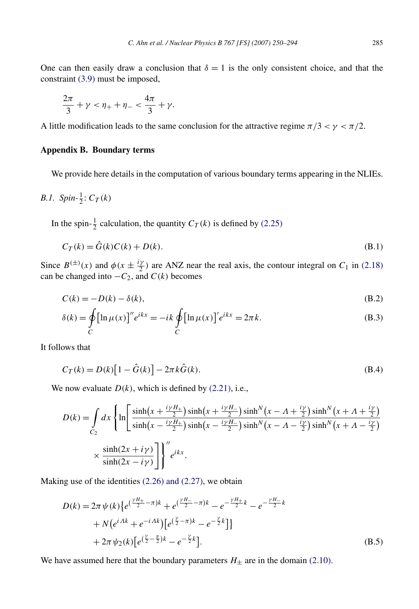<span id="page-35-0"></span>One can then easily draw a conclusion that  $\delta = 1$  is the only consistent choice, and that the constraint [\(3.9\)](#page-13-0) must be imposed,

$$
\frac{2\pi}{3} + \gamma < \eta_+ + \eta_- < \frac{4\pi}{3} + \gamma.
$$

A little modification leads to the same conclusion for the attractive regime  $\pi/3 < \gamma < \pi/2$ .

# **Appendix B. Boundary terms**

We provide here details in the computation of various boundary terms appearing in the NLIEs.

*B.1.* 
$$
Spin\text{-}\frac{1}{2}:C_T(k)
$$

In the spin- $\frac{1}{2}$  calculation, the quantity  $C_T(k)$  is defined by [\(2.25\)](#page-7-0)

$$
C_T(k) = \hat{G}(k)C(k) + D(k). \tag{B.1}
$$

Since  $B^{(\pm)}(x)$  and  $\phi(x \pm \frac{iy}{2})$  are ANZ near the real axis, the contour integral on  $C_1$  in [\(2.18\)](#page-6-0) can be changed into  $-C_2$ , and  $C(k)$  becomes

$$
C(k) = -D(k) - \delta(k),\tag{B.2}
$$

$$
\delta(k) = \oint_C \left[\ln \mu(x)\right]'' e^{ikx} = -ik \oint_C \left[\ln \mu(x)\right]' e^{ikx} = 2\pi k.
$$
 (B.3)

It follows that

$$
C_T(k) = D(k)[1 - \hat{G}(k)] - 2\pi k \hat{G}(k).
$$
 (B.4)

We now evaluate  $D(k)$ , which is defined by  $(2.21)$ , i.e.,

$$
D(k) = \int_{C_2} dx \left\{ \ln \left[ \frac{\sinh\left(x + \frac{i\gamma H_+}{2}\right)\sinh\left(x + \frac{i\gamma H_-}{2}\right)\sinh^N\left(x - \Lambda + \frac{i\gamma}{2}\right)\sinh^N\left(x + \Lambda + \frac{i\gamma}{2}\right)}{\sinh\left(x - \frac{i\gamma H_+}{2}\right)\sinh\left(x - \frac{i\gamma H_-}{2}\right)\sinh^N\left(x - \Lambda - \frac{i\gamma}{2}\right)\sinh^N\left(x + \Lambda - \frac{i\gamma}{2}\right)} \right\}^{\prime\prime}
$$
  
 
$$
\times \frac{\sinh(2x + i\gamma)}{\sinh(2x - i\gamma)} \left\{ \int_0^{u} e^{ikx} dx \right\}.
$$

Making use of the identities [\(2.26\) and \(2.27\),](#page-7-0) we obtain

$$
D(k) = 2\pi \psi(k) \{ e^{(\frac{\gamma H_{+}}{2} - \pi)k} + e^{(\frac{\gamma H_{-}}{2} - \pi)k} - e^{-\frac{\gamma H_{+}}{2}k} - e^{-\frac{\gamma H_{-}}{2}k} + N(e^{i\Lambda k} + e^{-i\Lambda k}) [e^{(\frac{\gamma}{2} - \pi)k} - e^{-\frac{\gamma}{2}k}] \}
$$
  
+  $2\pi \psi_2(k) [e^{(\frac{\gamma}{2} - \frac{\pi}{2})k} - e^{-\frac{\gamma}{2}k}].$  (B.5)

We have assumed here that the boundary parameters  $H_{\pm}$  are in the domain [\(2.10\).](#page-4-0)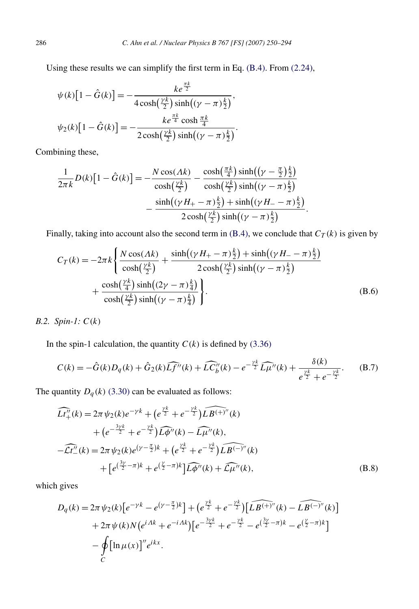Using these results we can simplify the first term in Eq. [\(B.4\).](#page-35-0) From [\(2.24\),](#page-6-0)

$$
\psi(k)[1 - \hat{G}(k)] = -\frac{ke^{\frac{\pi k}{2}}}{4\cosh(\frac{\gamma k}{2})\sinh((\gamma - \pi)\frac{k}{2})},
$$
  

$$
\psi_2(k)[1 - \hat{G}(k)] = -\frac{ke^{\frac{\pi k}{4}}\cosh{\frac{\pi k}{4}}}{2\cosh(\frac{\gamma k}{2})\sinh((\gamma - \pi)\frac{k}{2})}.
$$

Combining these,

$$
\frac{1}{2\pi k}D(k)\left[1-\hat{G}(k)\right] = -\frac{N\cos(\Lambda k)}{\cosh(\frac{\gamma k}{2})} - \frac{\cosh(\frac{\pi k}{4})\sinh((\gamma-\frac{\pi}{2})\frac{k}{2})}{\cosh(\frac{\gamma k}{2})\sinh((\gamma-\pi)\frac{k}{2})} - \frac{\sinh((\gamma H_{+}-\pi)\frac{k}{2}) + \sinh((\gamma H_{-}-\pi)\frac{k}{2})}{2\cosh(\frac{\gamma k}{2})\sinh((\gamma-\pi)\frac{k}{2})}.
$$

Finally, taking into account also the second term in  $(B.4)$ , we conclude that  $C_T(k)$  is given by

$$
C_T(k) = -2\pi k \left\{ \frac{N \cos(\Lambda k)}{\cosh(\frac{\gamma k}{2})} + \frac{\sinh((\gamma H_+ - \pi)\frac{k}{2}) + \sinh((\gamma H_- - \pi)\frac{k}{2})}{2\cosh(\frac{\gamma k}{2})\sinh((\gamma - \pi)\frac{k}{2})} + \frac{\cosh(\frac{\gamma k}{4})\sinh((2\gamma - \pi)\frac{k}{4})}{\cosh(\frac{\gamma k}{2})\sinh((\gamma - \pi)\frac{k}{4})} \right\}.
$$
(B.6)

*B.2. Spin-1: C(k)*

In the spin-1 calculation, the quantity  $C(k)$  is defined by [\(3.36\)](#page-16-0)

$$
C(k) = -\hat{G}(k)D_q(k) + \hat{G}_2(k)\widehat{Lf''}(k) + \widehat{LC''_b}(k) - e^{-\frac{\gamma k}{2}}\widehat{L\mu''}(k) + \frac{\delta(k)}{e^{\frac{\gamma k}{2}} + e^{-\frac{\gamma k}{2}}}.
$$
 (B.7)

The quantity 
$$
D_q(k)
$$
 (3.30) can be evaluated as follows:  
\n
$$
\widehat{Lt''_+}(k) = 2\pi \psi_2(k)e^{-\gamma k} + (e^{\frac{\gamma k}{2}} + e^{-\frac{\gamma k}{2}}) \widehat{Lg^{(+)}}''(k)
$$
\n
$$
+ (e^{-\frac{3\gamma k}{2}} + e^{-\frac{\gamma k}{2}}) \widehat{Lg''}(k) - \widehat{L\mu''}(k),
$$
\n
$$
- \widehat{Lt''_-}(k) = 2\pi \psi_2(k)e^{(\gamma - \frac{\pi}{2})k} + (e^{\frac{\gamma k}{2}} + e^{-\frac{\gamma k}{2}}) \widehat{Lg^{(-)''}}(k)
$$
\n
$$
+ [e^{(\frac{3\gamma}{2} - \pi)k} + e^{(\frac{\gamma}{2} - \pi)k}] \widehat{Lg''}(k) + \widehat{L\mu''}(k),
$$
\n(B.8)

which gives

1 gives  
\n
$$
D_q(k) = 2\pi \psi_2(k) \left[ e^{-\gamma k} - e^{(\gamma - \frac{\pi}{2})k} \right] + \left( e^{\frac{\gamma k}{2}} + e^{-\frac{\gamma k}{2}} \right) \left[ \widehat{LB^{(+)}''}(k) - \widehat{LB^{(-)}''}(k) \right] + 2\pi \psi(k) N \left( e^{iAk} + e^{-iAk} \right) \left[ e^{-\frac{3\gamma k}{2}} + e^{-\frac{\gamma k}{2}} - e^{\left(\frac{3\gamma}{2} - \pi\right)k} - e^{\left(\frac{\gamma}{2} - \pi\right)k} \right] - \oint_C \left[ \ln \mu(x) \right]'' e^{ikx}.
$$

<span id="page-36-0"></span>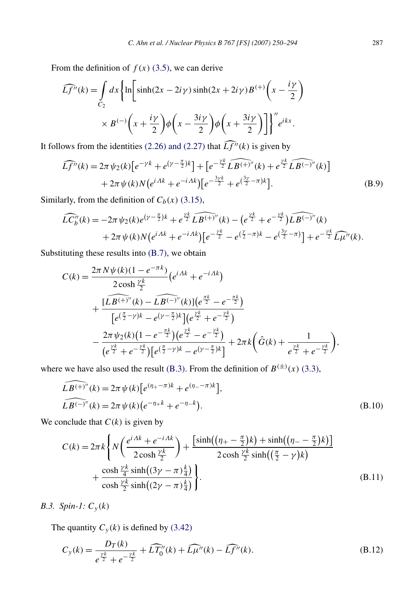<span id="page-37-0"></span>From the definition of  $f(x)$  [\(3.5\),](#page-12-0) we can derive

$$
\widehat{Lf''}(k) = \int_{C_2} dx \left\{ \ln \left[ \sinh(2x - 2i\gamma) \sinh(2x + 2i\gamma) B^{(+)} \left( x - \frac{i\gamma}{2} \right) \right. \right. \times B^{(-)} \left( x + \frac{i\gamma}{2} \right) \phi \left( x - \frac{3i\gamma}{2} \right) \phi \left( x + \frac{3i\gamma}{2} \right) \right] \Big\}'' e^{ikx}.
$$

It follows from the identities (2.26) and (2.27) that 
$$
\widehat{Lf''}(k)
$$
 is given by  
\n
$$
\widehat{Lf''}(k) = 2\pi \psi_2(k) \left[ e^{-\gamma k} + e^{(\gamma - \frac{\pi}{2})k} \right] + \left[ e^{-\frac{\gamma k}{2}} \widehat{LB^{(+)''}}(k) + e^{\frac{\gamma k}{2}} \widehat{LB^{(-)''}}(k) \right]
$$
\n
$$
+ 2\pi \psi(k) N \left( e^{iAk} + e^{-iAk} \right) \left[ e^{-\frac{3\gamma k}{2}} + e^{(\frac{3\gamma}{2} - \pi)k} \right].
$$
\n(B.9)

Similarly, from the definition of 
$$
C_b(x)
$$
 (3.15),  
\n
$$
\widehat{LC_b''}(k) = -2\pi \psi_2(k)e^{(\gamma - \frac{\pi}{2})k} + e^{\frac{\gamma k}{2}} \widehat{LB^{(+)''}}(k) - \left(e^{\frac{\gamma k}{2}} + e^{-\frac{\gamma k}{2}}\widehat{LB^{(-)''}}(k) + 2\pi \psi(k)N\left(e^{i\Delta k} + e^{-i\Delta k}\right)\left[e^{-\frac{\gamma k}{2}} - e^{\left(\frac{\gamma}{2} - \pi\right)k} - e^{\left(\frac{3\gamma}{2} - \pi\right)}\right] + e^{-\frac{\gamma k}{2}} \widehat{L\mu''}(k).
$$

Substituting these results into [\(B.7\),](#page-36-0) we obtain

$$
C(k) = \frac{2\pi N\psi(k)(1 - e^{-\pi k})}{2\cosh\frac{\gamma k}{2}} (e^{i\Delta k} + e^{-i\Delta k})
$$
  
+ 
$$
\frac{[L\widehat{B^{(+)}}''(k) - \widehat{L\widehat{B^{(-)}}''(k)}](e^{\frac{\pi k}{2}} - e^{-\frac{\pi k}{2}})}{[e^{(\frac{\pi}{2}-\gamma)k} - e^{(\gamma-\frac{\pi}{2})k}](e^{\frac{\gamma k}{2}} + e^{-\frac{\gamma k}{2}})} - \frac{2\pi \psi_2(k)(1 - e^{-\frac{\pi k}{2}})(e^{\frac{\gamma k}{2}} - e^{-\frac{\gamma k}{2}})}{(e^{\frac{\gamma k}{2}} + e^{-\frac{\gamma k}{2}})[e^{(\frac{\pi}{2}-\gamma)k} - e^{(\gamma-\frac{\pi}{2})k}]} + 2\pi k(\hat{G}(k) + \frac{1}{e^{\frac{\gamma k}{2}} + e^{-\frac{\gamma k}{2}}}),
$$

where we have also used the result (B.3). From the definition of 
$$
B^{(\pm)}(x)
$$
 (3.3),  
\n
$$
\widehat{LB^{(+)''}}(k) = 2\pi \psi(k) \left[ e^{(\eta_+ - \pi)k} + e^{(\eta_- - \pi)k} \right],
$$
\n
$$
\widehat{LB^{(-)''}}(k) = 2\pi \psi(k) \left( e^{-\eta_+ k} + e^{-\eta_- k} \right).
$$
\n(B.10)

We conclude that  $C(k)$  is given by

$$
C(k) = 2\pi k \left\{ N \left( \frac{e^{i\Delta k} + e^{-i\Delta k}}{2\cosh\frac{\gamma k}{2}} \right) + \frac{\left[ \sinh\left( (\eta_{+} - \frac{\pi}{2})k \right) + \sinh\left( (\eta_{-} - \frac{\pi}{2})k \right) \right]}{2\cosh\frac{\gamma k}{2}\sinh\left( (\frac{\pi}{2} - \gamma)k \right)} + \frac{\cosh\frac{\gamma k}{4}\sinh\left( (3\gamma - \pi) \frac{k}{4} \right)}{\cosh\frac{\gamma k}{2}\sinh\left( (2\gamma - \pi) \frac{k}{4} \right)} \right\}.
$$
\n(B.11)

*B.3. Spin-1: Cy (k)*

The quantity  $C_y(k)$  is defined by [\(3.42\)](#page-17-0)

$$
C_{y}(k) = \frac{D_{T}(k)}{e^{\frac{\gamma k}{2}} + e^{-\frac{\gamma k}{2}}} + \widehat{LT}_{0}^{\prime\prime}(k) + \widehat{L\mu}^{\prime\prime}(k) - \widehat{Lf}^{\prime\prime}(k).
$$
 (B.12)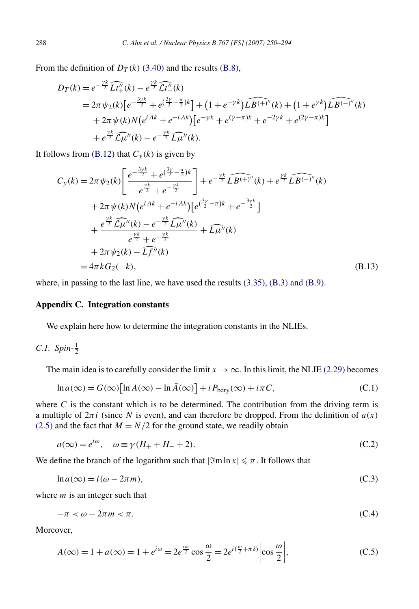From the definition of  $D_T(k)$  [\(3.40\)](#page-17-0) and the results [\(B.8\),](#page-36-0)

$$
D_T(k) = e^{-\frac{\gamma k}{2}} \widehat{Lt''_+(k)} - e^{\frac{\gamma k}{2}} \widehat{Lt''_-(k)}
$$
  
=  $2\pi \psi_2(k) \Big[ e^{-\frac{3\gamma k}{2}} + e^{(\frac{3\gamma}{2} - \frac{\pi}{2})k} \Big] + (1 + e^{-\gamma k}) \widehat{LB^{(+)''}}(k) + (1 + e^{\gamma k}) \widehat{LB^{(-)''}}(k)$   
+  $2\pi \psi(k) N \Big( e^{iAk} + e^{-iAk} \Big) \Big[ e^{-\gamma k} + e^{(\gamma - \pi)k} + e^{-2\gamma k} + e^{(2\gamma - \pi)k} \Big] + e^{\frac{\gamma k}{2}} \widehat{L\mu''}(k) - e^{-\frac{\gamma k}{2}} \widehat{L\mu''}(k).$ 

It follows from  $(B.12)$  that  $C_y(k)$  is given by

ows from (B.12) that 
$$
C_y(k)
$$
 is given by  
\n
$$
C_y(k) = 2\pi \psi_2(k) \left[ \frac{e^{-\frac{3\gamma k}{2}} + e^{(\frac{3\gamma}{2} - \frac{\pi}{2})k}}{e^{\frac{\gamma k}{2}} + e^{-\frac{\gamma k}{2}}} \right] + e^{-\frac{\gamma k}{2}} \widehat{LB^{(+)''}}(k) + e^{\frac{\gamma k}{2}} \widehat{LB^{(-)''}}(k)
$$
\n
$$
+ 2\pi \psi(k) N (e^{i\Lambda k} + e^{-i\Lambda k}) [e^{(\frac{3\gamma}{2} - \pi)k} + e^{-\frac{3\gamma k}{2}}]
$$
\n
$$
+ \frac{e^{\frac{\gamma k}{2}} \widehat{L\mu''}(k) - e^{-\frac{\gamma k}{2}} \widehat{L\mu''}(k)}{e^{\frac{\gamma k}{2}} + e^{-\frac{\gamma k}{2}}} + \widehat{L\mu''}(k)
$$
\n
$$
+ 2\pi \psi_2(k) - \widehat{Lf''}(k)
$$
\n
$$
= 4\pi k G_2(-k), \qquad (B.13)
$$

where, in passing to the last line, we have used the results [\(3.35\), \(B.3\) and \(B.9\).](#page-16-0)

#### **Appendix C. Integration constants**

We explain here how to determine the integration constants in the NLIEs.

C.1. 
$$
Spin\text{-}\frac{1}{2}
$$

The main idea is to carefully consider the limit  $x \to \infty$ . In this limit, the NLIE [\(2.29\)](#page-7-0) becomes

$$
\ln a(\infty) = G(\infty) [\ln A(\infty) - \ln \bar{A}(\infty)] + i P_{\text{bdry}}(\infty) + i\pi C,
$$
\n(C.1)

where  $C$  is the constant which is to be determined. The contribution from the driving term is a multiple of  $2\pi i$  (since *N* is even), and can therefore be dropped. From the definition of  $a(x)$ [\(2.5\)](#page-4-0) and the fact that  $M = N/2$  for the ground state, we readily obtain

$$
a(\infty) = e^{i\omega}, \quad \omega \equiv \gamma (H_+ + H_- + 2). \tag{C.2}
$$

We define the branch of the logarithm such that  $|\Im m \ln x| \leq \pi$ . It follows that

$$
\ln a(\infty) = i(\omega - 2\pi m),\tag{C.3}
$$

where *m* is an integer such that

$$
-\pi < \omega - 2\pi m < \pi. \tag{C.4}
$$

Moreover,

$$
A(\infty) = 1 + a(\infty) = 1 + e^{i\omega} = 2e^{\frac{i\omega}{2}} \cos \frac{\omega}{2} = 2e^{i(\frac{\omega}{2} + \pi\delta)} \left| \cos \frac{\omega}{2} \right|,
$$
 (C.5)

<span id="page-38-0"></span>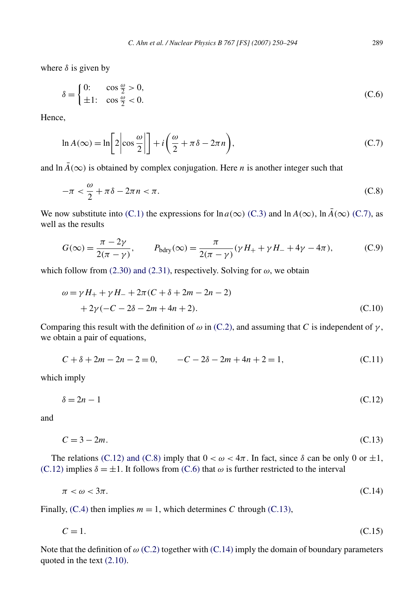where  $\delta$  is given by

$$
\delta = \begin{cases} 0: & \cos\frac{\omega}{2} > 0, \\ \pm 1: & \cos\frac{\omega}{2} < 0. \end{cases}
$$
 (C.6)

Hence,

$$
\ln A(\infty) = \ln \left[ 2 \left| \cos \frac{\omega}{2} \right| \right] + i \left( \frac{\omega}{2} + \pi \delta - 2\pi n \right),\tag{C.7}
$$

and  $\ln \bar{A}(\infty)$  is obtained by complex conjugation. Here *n* is another integer such that

$$
-\pi < \frac{\omega}{2} + \pi \delta - 2\pi n < \pi. \tag{C.8}
$$

We now substitute into [\(C.1\)](#page-38-0) the expressions for  $\ln a(\infty)$  [\(C.3\)](#page-38-0) and  $\ln A(\infty)$ ,  $\ln \bar{A}(\infty)$  (C.7), as well as the results

$$
G(\infty) = \frac{\pi - 2\gamma}{2(\pi - \gamma)}, \qquad P_{\text{bdry}}(\infty) = \frac{\pi}{2(\pi - \gamma)} (\gamma H_{+} + \gamma H_{-} + 4\gamma - 4\pi), \tag{C.9}
$$

which follow from  $(2.30)$  and  $(2.31)$ , respectively. Solving for  $\omega$ , we obtain

$$
\omega = \gamma H_{+} + \gamma H_{-} + 2\pi (C + \delta + 2m - 2n - 2)
$$
  
+ 2\gamma (-C - 2\delta - 2m + 4n + 2). (C.10)

Comparing this result with the definition of  $\omega$  in [\(C.2\),](#page-38-0) and assuming that *C* is independent of  $\gamma$ , we obtain a pair of equations,

$$
C + \delta + 2m - 2n - 2 = 0, \qquad -C - 2\delta - 2m + 4n + 2 = 1,\tag{C.11}
$$

which imply

$$
\delta = 2n - 1 \tag{C.12}
$$

and

$$
C = 3 - 2m.\tag{C.13}
$$

The relations (C.12) and (C.8) imply that  $0 < \omega < 4\pi$ . In fact, since  $\delta$  can be only 0 or  $\pm 1$ , (C.12) implies  $\delta = \pm 1$ . It follows from (C.6) that  $\omega$  is further restricted to the interval

$$
\pi < \omega < 3\pi. \tag{C.14}
$$

Finally,  $(C.4)$  then implies  $m = 1$ , which determines C through  $(C.13)$ ,

$$
C = 1.\tag{C.15}
$$

Note that the definition of *ω* [\(C.2\)](#page-38-0) together with (C.14) imply the domain of boundary parameters quoted in the text [\(2.10\).](#page-4-0)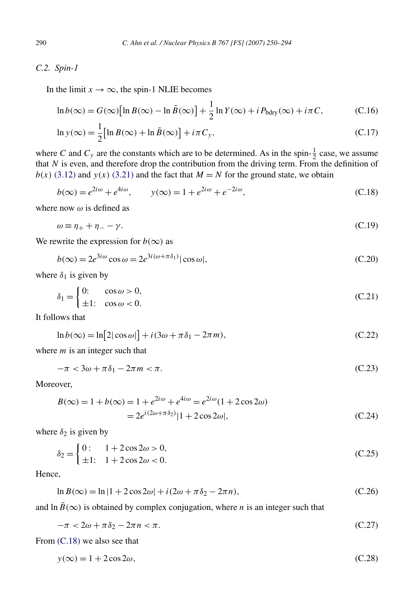# <span id="page-40-0"></span>*C.2. Spin-1*

In the limit  $x \to \infty$ , the spin-1 NLIE becomes

$$
\ln b(\infty) = G(\infty) \left[ \ln B(\infty) - \ln \bar{B}(\infty) \right] + \frac{1}{2} \ln Y(\infty) + i P_{\text{bdry}}(\infty) + i\pi C, \tag{C.16}
$$

$$
\ln y(\infty) = \frac{1}{2} \left[ \ln B(\infty) + \ln \bar{B}(\infty) \right] + i\pi C_y,
$$
\n(C.17)

where *C* and  $C_y$  are the constants which are to be determined. As in the spin- $\frac{1}{2}$  case, we assume that  $N$  is even, and therefore drop the contribution from the driving term. From the definition of  $b(x)$  [\(3.12\)](#page-13-0) and *y*(*x*) [\(3.21\)](#page-14-0) and the fact that  $M = N$  for the ground state, we obtain

$$
b(\infty) = e^{2i\omega} + e^{4i\omega}, \qquad y(\infty) = 1 + e^{2i\omega} + e^{-2i\omega}, \tag{C.18}
$$

where now *ω* is defined as

$$
\omega \equiv \eta_+ + \eta_- - \gamma. \tag{C.19}
$$

We rewrite the expression for  $b(\infty)$  as

$$
b(\infty) = 2e^{3i\omega}\cos\omega = 2e^{3i(\omega + \pi\delta_1)}|\cos\omega|,\tag{C.20}
$$

where  $\delta_1$  is given by

$$
\delta_1 = \begin{cases} 0: & \cos \omega > 0, \\ \pm 1: & \cos \omega < 0. \end{cases}
$$
 (C.21)

It follows that

$$
\ln b(\infty) = \ln[2|\cos\omega|] + i(3\omega + \pi\delta_1 - 2\pi m),\tag{C.22}
$$

where *m* is an integer such that

$$
-\pi < 3\omega + \pi\delta_1 - 2\pi m < \pi. \tag{C.23}
$$

Moreover,

$$
B(\infty) = 1 + b(\infty) = 1 + e^{2i\omega} + e^{4i\omega} = e^{2i\omega}(1 + 2\cos 2\omega)
$$
  
=  $2e^{i(2\omega + \pi \delta_2)}|1 + 2\cos 2\omega|,$  (C.24)

where  $\delta_2$  is given by

$$
\delta_2 = \begin{cases} 0: & 1 + 2\cos 2\omega > 0, \\ \pm 1: & 1 + 2\cos 2\omega < 0. \end{cases}
$$
 (C.25)

Hence,

$$
\ln B(\infty) = \ln|1 + 2\cos 2\omega| + i(2\omega + \pi \delta_2 - 2\pi n),\tag{C.26}
$$

and  $\ln \overline{B}(\infty)$  is obtained by complex conjugation, where *n* is an integer such that

$$
-\pi < 2\omega + \pi \delta_2 - 2\pi n < \pi. \tag{C.27}
$$

From (C.18) we also see that

$$
y(\infty) = 1 + 2\cos 2\omega, \tag{C.28}
$$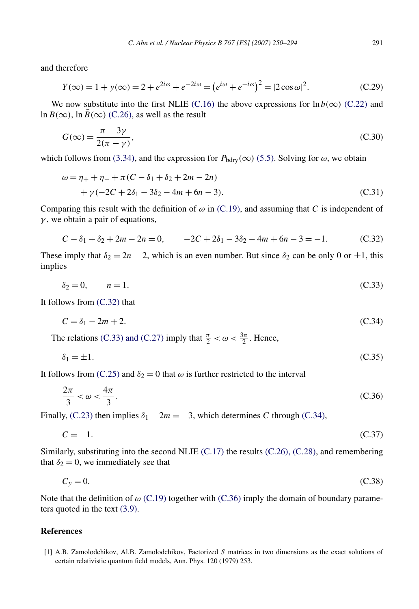<span id="page-41-0"></span>and therefore

$$
Y(\infty) = 1 + y(\infty) = 2 + e^{2i\omega} + e^{-2i\omega} = (e^{i\omega} + e^{-i\omega})^2 = |2\cos\omega|^2.
$$
 (C.29)

We now substitute into the first NLIE [\(C.16\)](#page-40-0) the above expressions for  $\ln b(\infty)$  [\(C.22\)](#page-40-0) and ln  $B(\infty)$ , ln  $\bar{B}(\infty)$  [\(C.26\),](#page-40-0) as well as the result

$$
G(\infty) = \frac{\pi - 3\gamma}{2(\pi - \gamma)},
$$
\n(C.30)

which follows from [\(3.34\),](#page-16-0) and the expression for  $P_{\text{bdry}}(\infty)$  [\(5.5\).](#page-25-0) Solving for  $\omega$ , we obtain

$$
\omega = \eta_{+} + \eta_{-} + \pi (C - \delta_{1} + \delta_{2} + 2m - 2n)
$$
  
+  $\gamma (-2C + 2\delta_{1} - 3\delta_{2} - 4m + 6n - 3).$  (C.31)

Comparing this result with the definition of  $\omega$  in [\(C.19\),](#page-40-0) and assuming that *C* is independent of *γ* , we obtain a pair of equations,

$$
C - \delta_1 + \delta_2 + 2m - 2n = 0, \qquad -2C + 2\delta_1 - 3\delta_2 - 4m + 6n - 3 = -1. \tag{C.32}
$$

These imply that  $\delta_2 = 2n - 2$ , which is an even number. But since  $\delta_2$  can be only 0 or  $\pm 1$ , this implies

$$
\delta_2 = 0, \qquad n = 1. \tag{C.33}
$$

It follows from (C.32) that

$$
C = \delta_1 - 2m + 2. \tag{C.34}
$$

The relations (C.33) and (C.27) imply that  $\frac{\pi}{2} < \omega < \frac{3\pi}{2}$ . Hence,

$$
\delta_1 = \pm 1. \tag{C.35}
$$

It follows from [\(C.25\)](#page-40-0) and  $\delta_2 = 0$  that  $\omega$  is further restricted to the interval

$$
\frac{2\pi}{3} < \omega < \frac{4\pi}{3}.\tag{C.36}
$$

Finally, [\(C.23\)](#page-40-0) then implies  $\delta_1 - 2m = -3$ , which determines *C* through (C.34),

$$
C = -1.\tag{C.37}
$$

Similarly, substituting into the second NLIE  $(C.17)$  the results  $(C.26)$ ,  $(C.28)$ , and remembering that  $\delta_2 = 0$ , we immediately see that

$$
C_y = 0.\t\t(C.38)
$$

Note that the definition of *ω* [\(C.19\)](#page-40-0) together with (C.36) imply the domain of boundary parameters quoted in the text [\(3.9\).](#page-13-0)

#### **References**

[1] A.B. Zamolodchikov, Al.B. Zamolodchikov, Factorized *S* matrices in two dimensions as the exact solutions of certain relativistic quantum field models, Ann. Phys. 120 (1979) 253.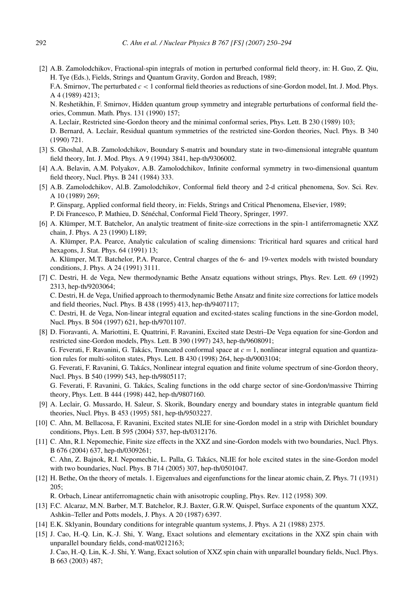<span id="page-42-0"></span>[2] A.B. Zamolodchikov, Fractional-spin integrals of motion in perturbed conformal field theory, in: H. Guo, Z. Qiu, H. Tye (Eds.), Fields, Strings and Quantum Gravity, Gordon and Breach, 1989;

F.A. Smirnov, The perturbated *c <* 1 conformal field theories as reductions of sine-Gordon model, Int. J. Mod. Phys. A 4 (1989) 4213;

N. Reshetikhin, F. Smirnov, Hidden quantum group symmetry and integrable perturbations of conformal field theories, Commun. Math. Phys. 131 (1990) 157;

A. Leclair, Restricted sine-Gordon theory and the minimal conformal series, Phys. Lett. B 230 (1989) 103;

D. Bernard, A. Leclair, Residual quantum symmetries of the restricted sine-Gordon theories, Nucl. Phys. B 340 (1990) 721.

- [3] S. Ghoshal, A.B. Zamolodchikov, Boundary S-matrix and boundary state in two-dimensional integrable quantum field theory, Int. J. Mod. Phys. A 9 (1994) 3841, hep-th/9306002.
- [4] A.A. Belavin, A.M. Polyakov, A.B. Zamolodchikov, Infinite conformal symmetry in two-dimensional quantum field theory, Nucl. Phys. B 241 (1984) 333.
- [5] A.B. Zamolodchikov, Al.B. Zamolodchikov, Conformal field theory and 2-d critical phenomena, Sov. Sci. Rev. A 10 (1989) 269;

P. Ginsparg, Applied conformal field theory, in: Fields, Strings and Critical Phenomena, Elsevier, 1989;

P. Di Francesco, P. Mathieu, D. Sénéchal, Conformal Field Theory, Springer, 1997.

[6] A. Klümper, M.T. Batchelor, An analytic treatment of finite-size corrections in the spin-1 antiferromagnetic XXZ chain, J. Phys. A 23 (1990) L189;

A. Klümper, P.A. Pearce, Analytic calculation of scaling dimensions: Tricritical hard squares and critical hard hexagons, J. Stat. Phys. 64 (1991) 13;

A. Klümper, M.T. Batchelor, P.A. Pearce, Central charges of the 6- and 19-vertex models with twisted boundary conditions, J. Phys. A 24 (1991) 3111.

[7] C. Destri, H. de Vega, New thermodynamic Bethe Ansatz equations without strings, Phys. Rev. Lett. 69 (1992) 2313, hep-th/9203064; C. Destri, H. de Vega, Unified approach to thermodynamic Bethe Ansatz and finite size corrections for lattice models

and field theories, Nucl. Phys. B 438 (1995) 413, hep-th/9407117; C. Destri, H. de Vega, Non-linear integral equation and excited-states scaling functions in the sine-Gordon model,

Nucl. Phys. B 504 (1997) 621, hep-th/9701107.

- [8] D. Fioravanti, A. Mariottini, E. Quattrini, F. Ravanini, Excited state Destri–De Vega equation for sine-Gordon and restricted sine-Gordon models, Phys. Lett. B 390 (1997) 243, hep-th/9608091; G. Feverati, F. Ravanini, G. Takács, Truncated conformal space at  $c = 1$ , nonlinear integral equation and quantization rules for multi-soliton states, Phys. Lett. B 430 (1998) 264, hep-th/9003104; G. Feverati, F. Ravanini, G. Takács, Nonlinear integral equation and finite volume spectrum of sine-Gordon theory, Nucl. Phys. B 540 (1999) 543, hep-th/9805117; G. Feverati, F. Ravanini, G. Takács, Scaling functions in the odd charge sector of sine-Gordon/massive Thirring theory, Phys. Lett. B 444 (1998) 442, hep-th/9807160.
- [9] A. Leclair, G. Mussardo, H. Saleur, S. Skorik, Boundary energy and boundary states in integrable quantum field theories, Nucl. Phys. B 453 (1995) 581, hep-th/9503227.
- [10] C. Ahn, M. Bellacosa, F. Ravanini, Excited states NLIE for sine-Gordon model in a strip with Dirichlet boundary conditions, Phys. Lett. B 595 (2004) 537, hep-th/0312176.
- [11] C. Ahn, R.I. Nepomechie, Finite size effects in the XXZ and sine-Gordon models with two boundaries, Nucl. Phys. B 676 (2004) 637, hep-th/0309261;

C. Ahn, Z. Bajnok, R.I. Nepomechie, L. Palla, G. Takács, NLIE for hole excited states in the sine-Gordon model with two boundaries, Nucl. Phys. B 714 (2005) 307, hep-th/0501047.

[12] H. Bethe, On the theory of metals. 1. Eigenvalues and eigenfunctions for the linear atomic chain, Z. Phys. 71 (1931) 205;

R. Orbach, Linear antiferromagnetic chain with anisotropic coupling, Phys. Rev. 112 (1958) 309.

- [13] F.C. Alcaraz, M.N. Barber, M.T. Batchelor, R.J. Baxter, G.R.W. Quispel, Surface exponents of the quantum XXZ, Ashkin–Teller and Potts models, J. Phys. A 20 (1987) 6397.
- [14] E.K. Sklyanin, Boundary conditions for integrable quantum systems, J. Phys. A 21 (1988) 2375.
- [15] J. Cao, H.-Q. Lin, K.-J. Shi, Y. Wang, Exact solutions and elementary excitations in the XXZ spin chain with unparallel boundary fields, cond-mat/0212163;

J. Cao, H.-Q. Lin, K.-J. Shi, Y. Wang, Exact solution of XXZ spin chain with unparallel boundary fields, Nucl. Phys. B 663 (2003) 487;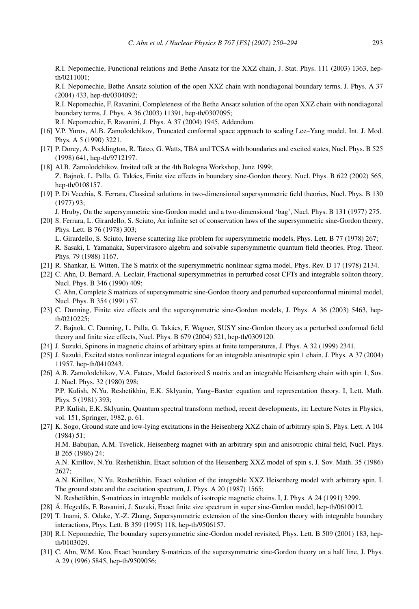<span id="page-43-0"></span>R.I. Nepomechie, Functional relations and Bethe Ansatz for the XXZ chain, J. Stat. Phys. 111 (2003) 1363, hepth/0211001;

R.I. Nepomechie, Bethe Ansatz solution of the open XXZ chain with nondiagonal boundary terms, J. Phys. A 37 (2004) 433, hep-th/0304092;

R.I. Nepomechie, F. Ravanini, Completeness of the Bethe Ansatz solution of the open XXZ chain with nondiagonal boundary terms, J. Phys. A 36 (2003) 11391, hep-th/0307095;

R.I. Nepomechie, F. Ravanini, J. Phys. A 37 (2004) 1945, Addendum.

Phys. 79 (1988) 1167.

- [16] V.P. Yurov, Al.B. Zamolodchikov, Truncated conformal space approach to scaling Lee–Yang model, Int. J. Mod. Phys. A 5 (1990) 3221.
- [17] P. Dorey, A. Pocklington, R. Tateo, G. Watts, TBA and TCSA with boundaries and excited states, Nucl. Phys. B 525 (1998) 641, hep-th/9712197.
- [18] Al.B. Zamolodchikov, Invited talk at the 4th Bologna Workshop, June 1999; Z. Bajnok, L. Palla, G. Takács, Finite size effects in boundary sine-Gordon theory, Nucl. Phys. B 622 (2002) 565, hep-th/0108157.
- [19] P. Di Vecchia, S. Ferrara, Classical solutions in two-dimensional supersymmetric field theories, Nucl. Phys. B 130 (1977) 93;

J. Hruby, On the supersymmetric sine-Gordon model and a two-dimensional 'bag', Nucl. Phys. B 131 (1977) 275.

- [20] S. Ferrara, L. Girardello, S. Sciuto, An infinite set of conservation laws of the supersymmetric sine-Gordon theory, Phys. Lett. B 76 (1978) 303; L. Girardello, S. Sciuto, Inverse scattering like problem for supersymmetric models, Phys. Lett. B 77 (1978) 267; R. Sasaki, I. Yamanaka, Supervirasoro algebra and solvable supersymmetric quantum field theories, Prog. Theor.
- [21] R. Shankar, E. Witten, The S matrix of the supersymmetric nonlinear sigma model, Phys. Rev. D 17 (1978) 2134.
- [22] C. Ahn, D. Bernard, A. Leclair, Fractional supersymmetries in perturbed coset CFTs and integrable soliton theory, Nucl. Phys. B 346 (1990) 409; C. Ahn, Complete S matrices of supersymmetric sine-Gordon theory and perturbed superconformal minimal model, Nucl. Phys. B 354 (1991) 57.
- [23] C. Dunning, Finite size effects and the supersymmetric sine-Gordon models, J. Phys. A 36 (2003) 5463, hepth/0210225;

Z. Bajnok, C. Dunning, L. Palla, G. Takács, F. Wagner, SUSY sine-Gordon theory as a perturbed conformal field theory and finite size effects, Nucl. Phys. B 679 (2004) 521, hep-th/0309120.

- [24] J. Suzuki, Spinons in magnetic chains of arbitrary spins at finite temperatures, J. Phys. A 32 (1999) 2341.
- [25] J. Suzuki, Excited states nonlinear integral equations for an integrable anisotropic spin 1 chain, J. Phys. A 37 (2004) 11957, hep-th/0410243.
- [26] A.B. Zamolodchikov, V.A. Fateev, Model factorized S matrix and an integrable Heisenberg chain with spin 1, Sov. J. Nucl. Phys. 32 (1980) 298;

P.P. Kulish, N.Yu. Reshetikhin, E.K. Sklyanin, Yang–Baxter equation and representation theory. I, Lett. Math. Phys. 5 (1981) 393;

P.P. Kulish, E.K. Sklyanin, Quantum spectral transform method, recent developments, in: Lecture Notes in Physics, vol. 151, Springer, 1982, p. 61.

[27] K. Sogo, Ground state and low-lying excitations in the Heisenberg XXZ chain of arbitrary spin S, Phys. Lett. A 104 (1984) 51;

H.M. Babujian, A.M. Tsvelick, Heisenberg magnet with an arbitrary spin and anisotropic chiral field, Nucl. Phys. B 265 (1986) 24;

A.N. Kirillov, N.Yu. Reshetikhin, Exact solution of the Heisenberg XXZ model of spin s, J. Sov. Math. 35 (1986)  $2627:$ 

A.N. Kirillov, N.Yu. Reshetikhin, Exact solution of the integrable XXZ Heisenberg model with arbitrary spin. I. The ground state and the excitation spectrum, J. Phys. A 20 (1987) 1565;

N. Reshetikhin, S-matrices in integrable models of isotropic magnetic chains. I, J. Phys. A 24 (1991) 3299.

- [28] Á. Hegedűs, F. Ravanini, J. Suzuki, Exact finite size spectrum in super sine-Gordon model, hep-th/0610012.
- [29] T. Inami, S. Odake, Y.-Z. Zhang, Supersymmetric extension of the sine-Gordon theory with integrable boundary interactions, Phys. Lett. B 359 (1995) 118, hep-th/9506157.
- [30] R.I. Nepomechie, The boundary supersymmetric sine-Gordon model revisited, Phys. Lett. B 509 (2001) 183, hepth/0103029.
- [31] C. Ahn, W.M. Koo, Exact boundary S-matrices of the supersymmetric sine-Gordon theory on a half line, J. Phys. A 29 (1996) 5845, hep-th/9509056;